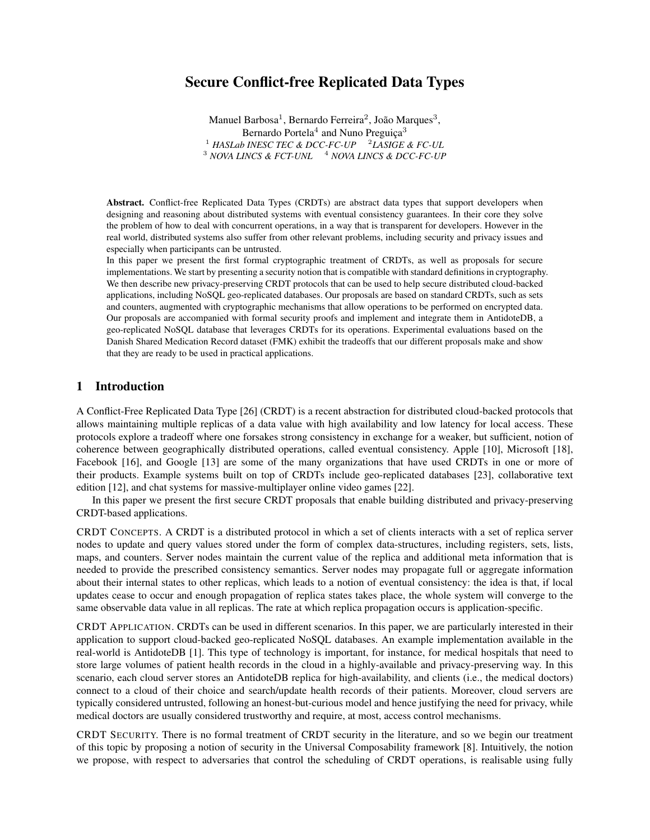# Secure Conflict-free Replicated Data Types

Manuel Barbosa<sup>1</sup>, Bernardo Ferreira<sup>2</sup>, João Marques<sup>3</sup>, Bernardo Portela<sup>4</sup> and Nuno Preguiça<sup>3</sup> <sup>1</sup> HASLab INESC TEC & DCC-FC-UP <sup>2</sup> LASIGE & FC-UL <sup>3</sup> *NOVA LINCS & FCT-UNL* <sup>4</sup> *NOVA LINCS & DCC-FC-UP* 

Abstract. Conflict-free Replicated Data Types (CRDTs) are abstract data types that support developers when designing and reasoning about distributed systems with eventual consistency guarantees. In their core they solve the problem of how to deal with concurrent operations, in a way that is transparent for developers. However in the real world, distributed systems also suffer from other relevant problems, including security and privacy issues and especially when participants can be untrusted.

In this paper we present the first formal cryptographic treatment of CRDTs, as well as proposals for secure implementations. We start by presenting a security notion that is compatible with standard definitions in cryptography. We then describe new privacy-preserving CRDT protocols that can be used to help secure distributed cloud-backed applications, including NoSQL geo-replicated databases. Our proposals are based on standard CRDTs, such as sets and counters, augmented with cryptographic mechanisms that allow operations to be performed on encrypted data. Our proposals are accompanied with formal security proofs and implement and integrate them in AntidoteDB, a geo-replicated NoSQL database that leverages CRDTs for its operations. Experimental evaluations based on the Danish Shared Medication Record dataset (FMK) exhibit the tradeoffs that our different proposals make and show that they are ready to be used in practical applications.

# 1 Introduction

A Conflict-Free Replicated Data Type [26] (CRDT) is a recent abstraction for distributed cloud-backed protocols that allows maintaining multiple replicas of a data value with high availability and low latency for local access. These protocols explore a tradeoff where one forsakes strong consistency in exchange for a weaker, but sufficient, notion of coherence between geographically distributed operations, called eventual consistency. Apple [10], Microsoft [18], Facebook [16], and Google [13] are some of the many organizations that have used CRDTs in one or more of their products. Example systems built on top of CRDTs include geo-replicated databases [23], collaborative text edition [12], and chat systems for massive-multiplayer online video games [22].

In this paper we present the first secure CRDT proposals that enable building distributed and privacy-preserving CRDT-based applications.

CRDT CONCEPTS. A CRDT is a distributed protocol in which a set of clients interacts with a set of replica server nodes to update and query values stored under the form of complex data-structures, including registers, sets, lists, maps, and counters. Server nodes maintain the current value of the replica and additional meta information that is needed to provide the prescribed consistency semantics. Server nodes may propagate full or aggregate information about their internal states to other replicas, which leads to a notion of eventual consistency: the idea is that, if local updates cease to occur and enough propagation of replica states takes place, the whole system will converge to the same observable data value in all replicas. The rate at which replica propagation occurs is application-specific.

CRDT APPLICATION. CRDTs can be used in different scenarios. In this paper, we are particularly interested in their application to support cloud-backed geo-replicated NoSQL databases. An example implementation available in the real-world is AntidoteDB [1]. This type of technology is important, for instance, for medical hospitals that need to store large volumes of patient health records in the cloud in a highly-available and privacy-preserving way. In this scenario, each cloud server stores an AntidoteDB replica for high-availability, and clients (i.e., the medical doctors) connect to a cloud of their choice and search/update health records of their patients. Moreover, cloud servers are typically considered untrusted, following an honest-but-curious model and hence justifying the need for privacy, while medical doctors are usually considered trustworthy and require, at most, access control mechanisms.

CRDT SECURITY. There is no formal treatment of CRDT security in the literature, and so we begin our treatment of this topic by proposing a notion of security in the Universal Composability framework [8]. Intuitively, the notion we propose, with respect to adversaries that control the scheduling of CRDT operations, is realisable using fully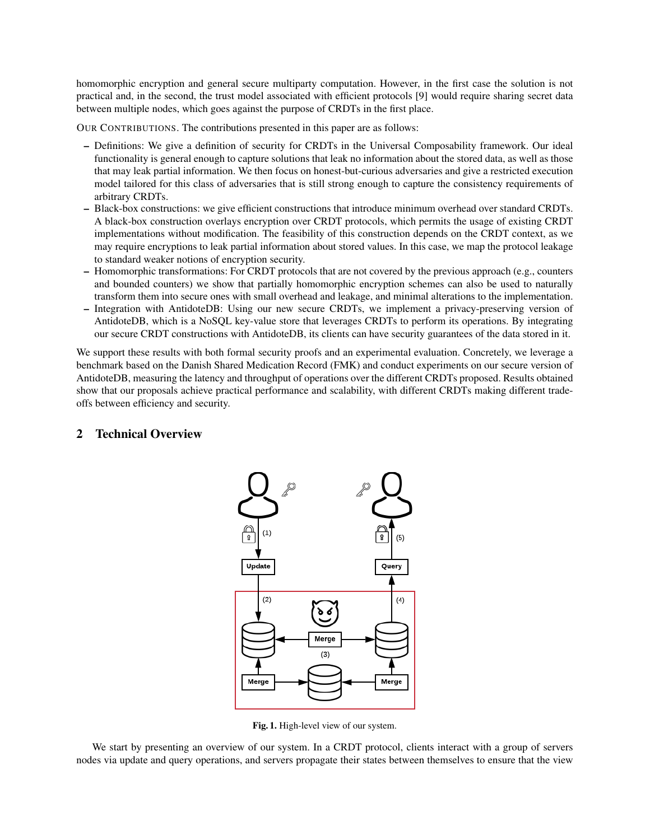homomorphic encryption and general secure multiparty computation. However, in the first case the solution is not practical and, in the second, the trust model associated with efficient protocols [9] would require sharing secret data between multiple nodes, which goes against the purpose of CRDTs in the first place.

OUR CONTRIBUTIONS. The contributions presented in this paper are as follows:

- Definitions: We give a definition of security for CRDTs in the Universal Composability framework. Our ideal functionality is general enough to capture solutions that leak no information about the stored data, as well as those that may leak partial information. We then focus on honest-but-curious adversaries and give a restricted execution model tailored for this class of adversaries that is still strong enough to capture the consistency requirements of arbitrary CRDTs.
- Black-box constructions: we give efficient constructions that introduce minimum overhead over standard CRDTs. A black-box construction overlays encryption over CRDT protocols, which permits the usage of existing CRDT implementations without modification. The feasibility of this construction depends on the CRDT context, as we may require encryptions to leak partial information about stored values. In this case, we map the protocol leakage to standard weaker notions of encryption security.
- Homomorphic transformations: For CRDT protocols that are not covered by the previous approach (e.g., counters and bounded counters) we show that partially homomorphic encryption schemes can also be used to naturally transform them into secure ones with small overhead and leakage, and minimal alterations to the implementation.
- Integration with AntidoteDB: Using our new secure CRDTs, we implement a privacy-preserving version of AntidoteDB, which is a NoSQL key-value store that leverages CRDTs to perform its operations. By integrating our secure CRDT constructions with AntidoteDB, its clients can have security guarantees of the data stored in it.

We support these results with both formal security proofs and an experimental evaluation. Concretely, we leverage a benchmark based on the Danish Shared Medication Record (FMK) and conduct experiments on our secure version of AntidoteDB, measuring the latency and throughput of operations over the different CRDTs proposed. Results obtained show that our proposals achieve practical performance and scalability, with different CRDTs making different tradeoffs between efficiency and security.

# 2 Technical Overview



Fig. 1. High-level view of our system.

We start by presenting an overview of our system. In a CRDT protocol, clients interact with a group of servers nodes via update and query operations, and servers propagate their states between themselves to ensure that the view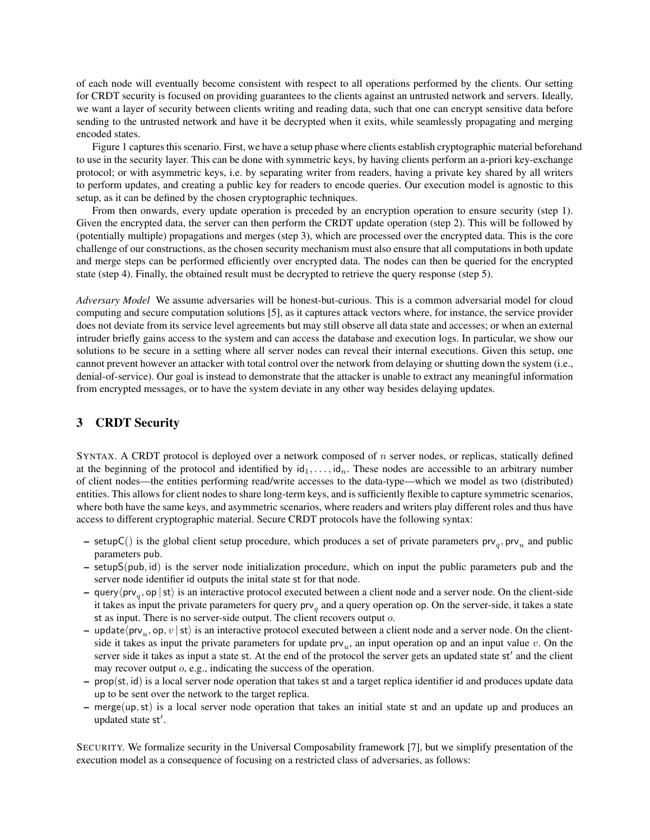of each node will eventually become consistent with respect to all operations performed by the clients. Our setting for CRDT security is focused on providing guarantees to the clients against an untrusted network and servers. Ideally, we want a layer of security between clients writing and reading data, such that one can encrypt sensitive data before sending to the untrusted network and have it be decrypted when it exits, while seamlessly propagating and merging encoded states.

Figure 1 captures this scenario. First, we have a setup phase where clients establish cryptographic material beforehand to use in the security layer. This can be done with symmetric keys, by having clients perform an a-priori key-exchange protocol; or with asymmetric keys, i.e. by separating writer from readers, having a private key shared by all writers to perform updates, and creating a public key for readers to encode queries. Our execution model is agnostic to this setup, as it can be defined by the chosen cryptographic techniques.

From then onwards, every update operation is preceded by an encryption operation to ensure security (step 1). Given the encrypted data, the server can then perform the CRDT update operation (step 2). This will be followed by (potentially multiple) propagations and merges (step 3), which are processed over the encrypted data. This is the core challenge of our constructions, as the chosen security mechanism must also ensure that all computations in both update and merge steps can be performed efficiently over encrypted data. The nodes can then be queried for the encrypted state (step 4). Finally, the obtained result must be decrypted to retrieve the query response (step 5).

*Adversary Model* We assume adversaries will be honest-but-curious. This is a common adversarial model for cloud computing and secure computation solutions [5], as it captures attack vectors where, for instance, the service provider does not deviate from its service level agreements but may still observe all data state and accesses; or when an external intruder briefly gains access to the system and can access the database and execution logs. In particular, we show our solutions to be secure in a setting where all server nodes can reveal their internal executions. Given this setup, one cannot prevent however an attacker with total control over the network from delaying or shutting down the system (i.e., denial-of-service). Our goal is instead to demonstrate that the attacker is unable to extract any meaningful information from encrypted messages, or to have the system deviate in any other way besides delaying updates.

# 3 CRDT Security

SYNTAX. A CRDT protocol is deployed over a network composed of n server nodes, or replicas, statically defined at the beginning of the protocol and identified by  $id_1, \ldots, id_n$ . These nodes are accessible to an arbitrary number of client nodes—the entities performing read/write accesses to the data-type—which we model as two (distributed) entities. This allows for client nodes to share long-term keys, and is sufficiently flexible to capture symmetric scenarios, where both have the same keys, and asymmetric scenarios, where readers and writers play different roles and thus have access to different cryptographic material. Secure CRDT protocols have the following syntax:

- $-$  setupC() is the global client setup procedure, which produces a set of private parameters prv<sub>q</sub>, prv<sub>u</sub> and public parameters pub.
- setupS(pub, id) is the server node initialization procedure, which on input the public parameters pub and the server node identifier id outputs the inital state st for that node.
- $-$  query $\langle$ prv<sub>q</sub>, op | st $\rangle$  is an interactive protocol executed between a client node and a server node. On the client-side it takes as input the private parameters for query  $prv_q$  and a query operation op. On the server-side, it takes a state st as input. There is no server-side output. The client recovers output o.
- update $\langle \text{prv}_u, \text{op}, v \mid \text{st} \rangle$  is an interactive protocol executed between a client node and a server node. On the clientside it takes as input the private parameters for update  $prv_u$ , an input operation op and an input value v. On the server side it takes as input a state st. At the end of the protocol the server gets an updated state st' and the client may recover output *o*, e.g., indicating the success of the operation.
- prop(st, id) is a local server node operation that takes st and a target replica identifier id and produces update data up to be sent over the network to the target replica.
- merge(up,st) is a local server node operation that takes an initial state st and an update up and produces an updated state st'.

SECURITY. We formalize security in the Universal Composability framework [7], but we simplify presentation of the execution model as a consequence of focusing on a restricted class of adversaries, as follows: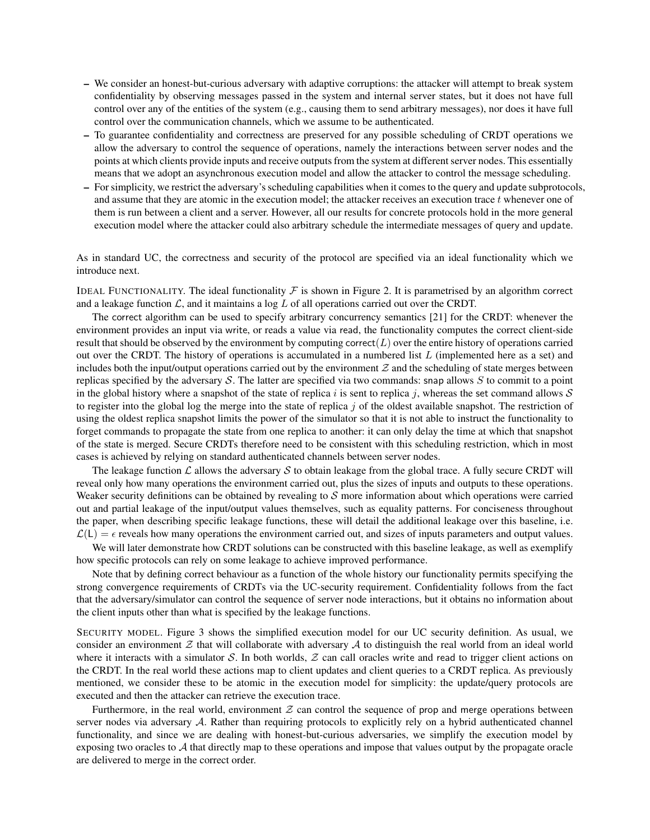- We consider an honest-but-curious adversary with adaptive corruptions: the attacker will attempt to break system confidentiality by observing messages passed in the system and internal server states, but it does not have full control over any of the entities of the system (e.g., causing them to send arbitrary messages), nor does it have full control over the communication channels, which we assume to be authenticated.
- To guarantee confidentiality and correctness are preserved for any possible scheduling of CRDT operations we allow the adversary to control the sequence of operations, namely the interactions between server nodes and the points at which clients provide inputs and receive outputs from the system at different server nodes. This essentially means that we adopt an asynchronous execution model and allow the attacker to control the message scheduling.
- For simplicity, we restrict the adversary's scheduling capabilities when it comes to the query and update subprotocols, and assume that they are atomic in the execution model; the attacker receives an execution trace  $t$  whenever one of them is run between a client and a server. However, all our results for concrete protocols hold in the more general execution model where the attacker could also arbitrary schedule the intermediate messages of query and update.

As in standard UC, the correctness and security of the protocol are specified via an ideal functionality which we introduce next.

IDEAL FUNCTIONALITY. The ideal functionality  $\mathcal F$  is shown in Figure 2. It is parametrised by an algorithm correct and a leakage function  $\mathcal{L}$ , and it maintains a log  $L$  of all operations carried out over the CRDT.

The correct algorithm can be used to specify arbitrary concurrency semantics [21] for the CRDT: whenever the environment provides an input via write, or reads a value via read, the functionality computes the correct client-side result that should be observed by the environment by computing correct( $L$ ) over the entire history of operations carried out over the CRDT. The history of operations is accumulated in a numbered list  $L$  (implemented here as a set) and includes both the input/output operations carried out by the environment  $Z$  and the scheduling of state merges between replicas specified by the adversary  $S$ . The latter are specified via two commands: snap allows  $S$  to commit to a point in the global history where a snapshot of the state of replica i is sent to replica j, whereas the set command allows  $S$ to register into the global log the merge into the state of replica  $j$  of the oldest available snapshot. The restriction of using the oldest replica snapshot limits the power of the simulator so that it is not able to instruct the functionality to forget commands to propagate the state from one replica to another: it can only delay the time at which that snapshot of the state is merged. Secure CRDTs therefore need to be consistent with this scheduling restriction, which in most cases is achieved by relying on standard authenticated channels between server nodes.

The leakage function  $\mathcal L$  allows the adversary  $\mathcal S$  to obtain leakage from the global trace. A fully secure CRDT will reveal only how many operations the environment carried out, plus the sizes of inputs and outputs to these operations. Weaker security definitions can be obtained by revealing to  $S$  more information about which operations were carried out and partial leakage of the input/output values themselves, such as equality patterns. For conciseness throughout the paper, when describing specific leakage functions, these will detail the additional leakage over this baseline, i.e.  $\mathcal{L}(L) = \epsilon$  reveals how many operations the environment carried out, and sizes of inputs parameters and output values.

We will later demonstrate how CRDT solutions can be constructed with this baseline leakage, as well as exemplify how specific protocols can rely on some leakage to achieve improved performance.

Note that by defining correct behaviour as a function of the whole history our functionality permits specifying the strong convergence requirements of CRDTs via the UC-security requirement. Confidentiality follows from the fact that the adversary/simulator can control the sequence of server node interactions, but it obtains no information about the client inputs other than what is specified by the leakage functions.

SECURITY MODEL. Figure 3 shows the simplified execution model for our UC security definition. As usual, we consider an environment  $\mathcal Z$  that will collaborate with adversary  $\mathcal A$  to distinguish the real world from an ideal world where it interacts with a simulator S. In both worlds,  $Z$  can call oracles write and read to trigger client actions on the CRDT. In the real world these actions map to client updates and client queries to a CRDT replica. As previously mentioned, we consider these to be atomic in the execution model for simplicity: the update/query protocols are executed and then the attacker can retrieve the execution trace.

Furthermore, in the real world, environment  $Z$  can control the sequence of prop and merge operations between server nodes via adversary A. Rather than requiring protocols to explicitly rely on a hybrid authenticated channel functionality, and since we are dealing with honest-but-curious adversaries, we simplify the execution model by exposing two oracles to  $A$  that directly map to these operations and impose that values output by the propagate oracle are delivered to merge in the correct order.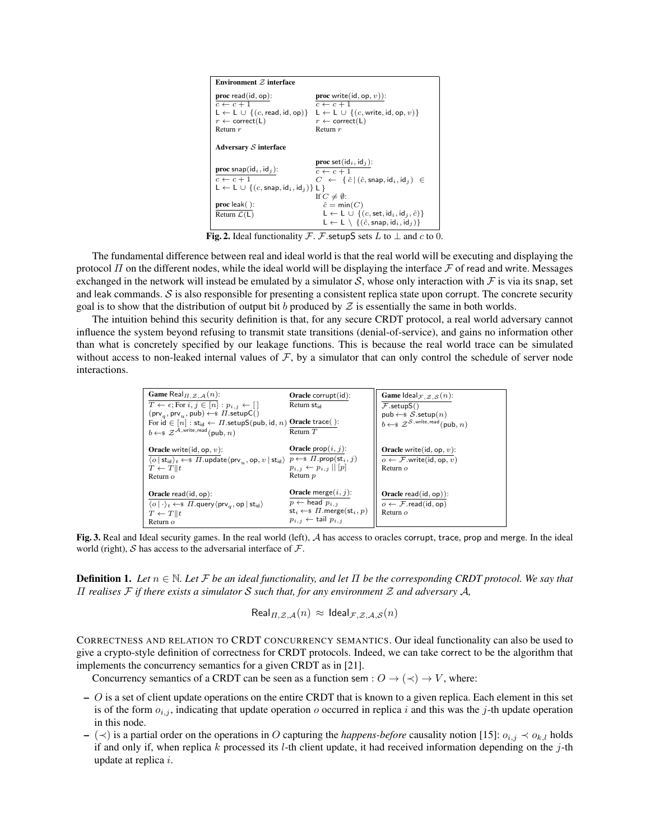| Environment $Z$ interface                                                  |                                                                                    |  |  |  |  |
|----------------------------------------------------------------------------|------------------------------------------------------------------------------------|--|--|--|--|
| proc read(id, op):                                                         | <b>proc</b> write(id, op, $v$ )):                                                  |  |  |  |  |
| $c \leftarrow c + 1$                                                       | $c \leftarrow c + 1$                                                               |  |  |  |  |
| $L \leftarrow L \cup \{(c, \text{read}, \text{id}, \text{op})\}$           | $L \leftarrow L \cup \{(c, write, id, op, v)\}\$                                   |  |  |  |  |
| $r \leftarrow$ correct(L)                                                  | $r \leftarrow$ correct(L)                                                          |  |  |  |  |
| Return $r$                                                                 | Return $r$                                                                         |  |  |  |  |
| Adversary $S$ interface                                                    |                                                                                    |  |  |  |  |
|                                                                            | <b>proc</b> set( $id_i$ , $id_j$ ):                                                |  |  |  |  |
| <b>proc</b> snap( $id_i$ , $id_j$ ):                                       | $c \leftarrow c + 1$                                                               |  |  |  |  |
| $c \leftarrow c + 1$                                                       | $C \leftarrow \{\hat{c} \mid (\hat{c}, \text{snap}, \text{id}_i, \text{id}_i) \in$ |  |  |  |  |
| $L \leftarrow L \cup \{(c, \text{snap}, \text{id}_i, \text{id}_j)\}\cup\}$ |                                                                                    |  |  |  |  |
|                                                                            | If $C \neq \emptyset$ :                                                            |  |  |  |  |
| $proc$ leak $()$ :                                                         | $\hat{c} = \min(C)$                                                                |  |  |  |  |
| Return $\mathcal{L}(L)$                                                    | $L \leftarrow L \cup \{(c, \text{set}, \text{id}_i, \text{id}_j, \hat{c})\}$       |  |  |  |  |
|                                                                            | $L \leftarrow L \setminus \{(\hat{c}, \text{snap}, \text{id}_i, \text{id}_j)\}\$   |  |  |  |  |

Fig. 2. Ideal functionality  $\mathcal F$ .  $\mathcal F$ . setupS sets L to  $\perp$  and c to 0.

The fundamental difference between real and ideal world is that the real world will be executing and displaying the protocol  $\Pi$  on the different nodes, while the ideal world will be displaying the interface  $\mathcal F$  of read and write. Messages exchanged in the network will instead be emulated by a simulator S, whose only interaction with F is via its snap, set and leak commands.  $S$  is also responsible for presenting a consistent replica state upon corrupt. The concrete security goal is to show that the distribution of output bit b produced by  $Z$  is essentially the same in both worlds.

The intuition behind this security definition is that, for any secure CRDT protocol, a real world adversary cannot influence the system beyond refusing to transmit state transitions (denial-of-service), and gains no information other than what is concretely specified by our leakage functions. This is because the real world trace can be simulated without access to non-leaked internal values of  $F$ , by a simulator that can only control the schedule of server node interactions.

| Game Real $_{\Pi,\mathcal{Z},\mathcal{A}}(n)$ :<br>$T \leftarrow \epsilon$ ; For $i, j \in [n] : p_{i,j} \leftarrow [$                                                                                                                                                                                                                     | $Oracle$ corrupt $(id)$ :<br>Return st <sub>id</sub>                                                                                                                               | <b>Game</b> Ideal <sub><i>F</i></sub> , <i>g</i> , <i>g</i> ( <i>n</i> ):<br>$\mathcal{F}.\mathsf{setupS}()$             |
|--------------------------------------------------------------------------------------------------------------------------------------------------------------------------------------------------------------------------------------------------------------------------------------------------------------------------------------------|------------------------------------------------------------------------------------------------------------------------------------------------------------------------------------|--------------------------------------------------------------------------------------------------------------------------|
| $(\text{prv}_a, \text{prv}_u, \text{pub}) \leftarrow \$ \ \Pi.\text{setupC}()$<br>For id $\in$ $[n]$ : $st_{id}$ $\leftarrow$ $\overline{H}$ . setupS(pub, id, $n)$ Oracle trace():<br>$b \leftarrow \$ \mathcal{Z}^{\mathcal{A}, \text{write}, \text{read}} (\text{pub}, n)$                                                              | Return $T$                                                                                                                                                                         | pub $\leftarrow$ <i>s</i> $S$ setup $(n)$<br>$b \leftarrow$ <i>s</i> $Z^{S, \text{write}, \text{read}}$ (pub, <i>n</i> ) |
| <b>Oracle</b> write(id, op, $v$ ):<br>$\langle o \,   \, \mathsf{st}_\mathsf{id} \rangle_t \leftarrow \!\!\! \ast \; \varPi.\mathsf{update}\langle \mathsf{prv}_u, \mathsf{op}, v \,   \, \mathsf{st}_\mathsf{id} \rangle \; \; p \leftarrow \!\!\! \ast \; \varPi.\mathsf{prop}(\mathsf{st}_i, j)$<br>$T \leftarrow T    t$<br>Return $o$ | <b>Oracle</b> prop $(i, j)$ :<br>$p_{i,j} \leftarrow p_{i,j}    [p]$<br>Return p                                                                                                   | <b>Oracle</b> write(id, op, $v$ ):<br>$o \leftarrow \mathcal{F}$ .write(id, op, v)<br>Return $o$                         |
| Oracle $read(id, op)$ :<br>$\langle o   \cdot \rangle_t \leftarrow \$ $\Pi$ query $\langle \text{prv}_a, \text{op}   \text{st}_{\text{id}} \rangle$<br>$T \leftarrow T    t$<br>Return $o$                                                                                                                                                 | <b>Oracle</b> merge $(i, j)$ :<br>$p \leftarrow$ head $p_{i,j}$<br>$\mathsf{st}_i \leftarrow \$ \Pi.\mathsf{merge}(\mathsf{st}_i, p)$<br>$p_{i,j} \leftarrow \text{tail } p_{i,j}$ | Oracle read $(id, op)$ :<br>$o \leftarrow \mathcal{F}$ . read(id, op)<br>Return $\alpha$                                 |

Fig. 3. Real and Ideal security games. In the real world (left), A has access to oracles corrupt, trace, prop and merge. In the ideal world (right),  $S$  has access to the adversarial interface of  $F$ .

Definition 1. *Let* n ∈ N*. Let* F *be an ideal functionality, and let* Π *be the corresponding CRDT protocol. We say that* Π *realises* F *if there exists a simulator* S *such that, for any environment* Z *and adversary* A*,*

$$
\mathsf{Real}_{\Pi,\mathcal{Z},\mathcal{A}}(n) \approx \mathsf{Ideal}_{\mathcal{F},\mathcal{Z},\mathcal{A},\mathcal{S}}(n)
$$

CORRECTNESS AND RELATION TO CRDT CONCURRENCY SEMANTICS. Our ideal functionality can also be used to give a crypto-style definition of correctness for CRDT protocols. Indeed, we can take correct to be the algorithm that implements the concurrency semantics for a given CRDT as in [21].

Concurrency semantics of a CRDT can be seen as a function sem :  $O \rightarrow (\prec) \rightarrow V$ , where:

- $-$  O is a set of client update operations on the entire CRDT that is known to a given replica. Each element in this set is of the form  $o_{i,j}$ , indicating that update operation  $o$  occurred in replica i and this was the j-th update operation in this node.
- $-$  ( $\prec$ ) is a partial order on the operations in O capturing the *happens-before* causality notion [15]:  $o_{i,j}$  ≺  $o_{k,l}$  holds if and only if, when replica k processed its l-th client update, it had received information depending on the  $j$ -th update at replica i.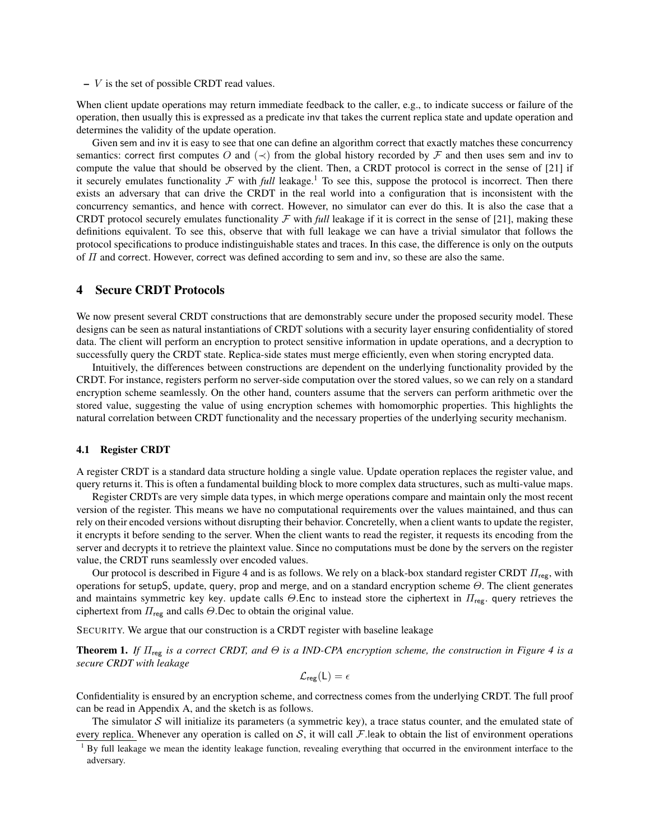$-V$  is the set of possible CRDT read values.

When client update operations may return immediate feedback to the caller, e.g., to indicate success or failure of the operation, then usually this is expressed as a predicate inv that takes the current replica state and update operation and determines the validity of the update operation.

Given sem and inv it is easy to see that one can define an algorithm correct that exactly matches these concurrency semantics: correct first computes O and  $(\prec)$  from the global history recorded by F and then uses sem and inv to compute the value that should be observed by the client. Then, a CRDT protocol is correct in the sense of [21] if it securely emulates functionality  $F$  with *full* leakage.<sup>1</sup> To see this, suppose the protocol is incorrect. Then there exists an adversary that can drive the CRDT in the real world into a configuration that is inconsistent with the concurrency semantics, and hence with correct. However, no simulator can ever do this. It is also the case that a CRDT protocol securely emulates functionality  $\mathcal F$  with *full* leakage if it is correct in the sense of [21], making these definitions equivalent. To see this, observe that with full leakage we can have a trivial simulator that follows the protocol specifications to produce indistinguishable states and traces. In this case, the difference is only on the outputs of  $\Pi$  and correct. However, correct was defined according to sem and inv, so these are also the same.

#### 4 Secure CRDT Protocols

We now present several CRDT constructions that are demonstrably secure under the proposed security model. These designs can be seen as natural instantiations of CRDT solutions with a security layer ensuring confidentiality of stored data. The client will perform an encryption to protect sensitive information in update operations, and a decryption to successfully query the CRDT state. Replica-side states must merge efficiently, even when storing encrypted data.

Intuitively, the differences between constructions are dependent on the underlying functionality provided by the CRDT. For instance, registers perform no server-side computation over the stored values, so we can rely on a standard encryption scheme seamlessly. On the other hand, counters assume that the servers can perform arithmetic over the stored value, suggesting the value of using encryption schemes with homomorphic properties. This highlights the natural correlation between CRDT functionality and the necessary properties of the underlying security mechanism.

#### 4.1 Register CRDT

A register CRDT is a standard data structure holding a single value. Update operation replaces the register value, and query returns it. This is often a fundamental building block to more complex data structures, such as multi-value maps.

Register CRDTs are very simple data types, in which merge operations compare and maintain only the most recent version of the register. This means we have no computational requirements over the values maintained, and thus can rely on their encoded versions without disrupting their behavior. Concretelly, when a client wants to update the register, it encrypts it before sending to the server. When the client wants to read the register, it requests its encoding from the server and decrypts it to retrieve the plaintext value. Since no computations must be done by the servers on the register value, the CRDT runs seamlessly over encoded values.

Our protocol is described in Figure 4 and is as follows. We rely on a black-box standard register CRDT  $\Pi_{\text{reg}}$ , with operations for setupS, update, query, prop and merge, and on a standard encryption scheme Θ. The client generates and maintains symmetric key key. update calls  $\Theta$ . Enc to instead store the ciphertext in  $\Pi_{\text{reg}}$ . query retrieves the ciphertext from  $\Pi_{\text{reg}}$  and calls  $\Theta$ . Dec to obtain the original value.

SECURITY. We argue that our construction is a CRDT register with baseline leakage

Theorem 1. *If*  $\Pi_{\text{reg}}$  *is a correct CRDT, and*  $\Theta$  *is a IND-CPA encryption scheme, the construction in Figure 4 is a secure CRDT with leakage*

$$
\mathcal{L}_{\text{reg}}(\mathsf{L})=\epsilon
$$

Confidentiality is ensured by an encryption scheme, and correctness comes from the underlying CRDT. The full proof can be read in Appendix A, and the sketch is as follows.

The simulator  $S$  will initialize its parameters (a symmetric key), a trace status counter, and the emulated state of every replica. Whenever any operation is called on  $S$ , it will call  $F$  leak to obtain the list of environment operations

 $1$  By full leakage we mean the identity leakage function, revealing everything that occurred in the environment interface to the adversary.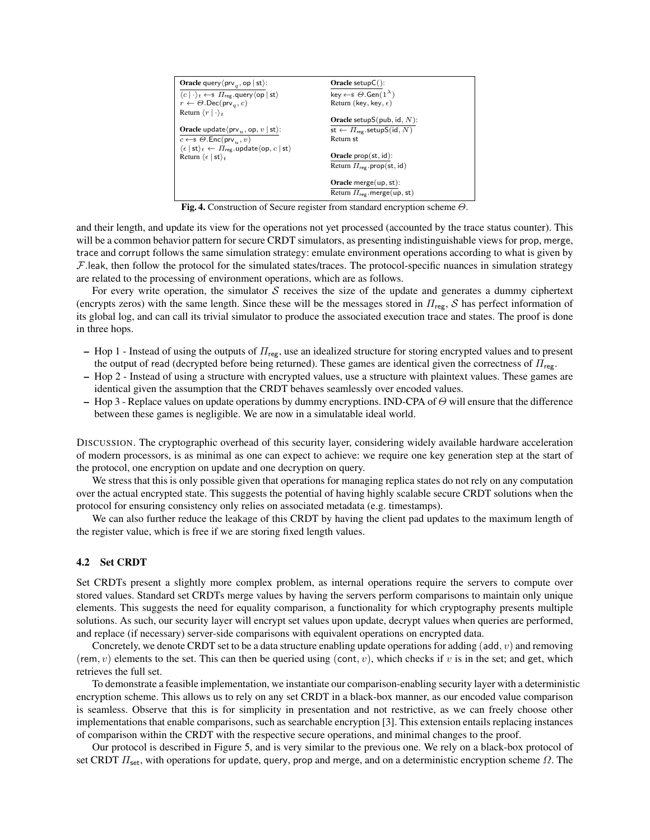| <b>Oracle</b> query $\langle \text{prv}_{a}, \text{op}   \text{st} \rangle$ :                            | $Oracle setupC()$ :                              |
|----------------------------------------------------------------------------------------------------------|--------------------------------------------------|
| $\langle c   \cdot \rangle_t \leftarrow \$ $\Pi_{\text{reg}}$ query $\langle op   st \rangle$            | key $\leftarrow$ $\theta$ . Gen $(1^{\lambda})$  |
| $r \leftarrow \Theta$ . Dec(prv <sub>a</sub> , c)                                                        | Return (key, key, $\epsilon$ )                   |
| Return $\langle r   \cdot \rangle_t$                                                                     |                                                  |
|                                                                                                          | <b>Oracle</b> setupS(pub, id, $N$ ):             |
| <b>Oracle</b> update $\langle$ prv <sub>u</sub> , op, v   st $\rangle$ :                                 | st $\leftarrow \Pi_{\text{reg}}$ . setupS(id, N) |
| $c \leftarrow \in \Theta$ . Enc(prv <sub>n</sub> , v)                                                    | Return st                                        |
| $\langle \epsilon  $ st $\rangle_t \leftarrow \Pi_{\text{reg}}$ .update $\langle$ op, $c  $ st $\rangle$ |                                                  |
| Return $\langle \epsilon  $ st $\rangle_t$                                                               | Oracle $prop(st, id)$ :                          |
|                                                                                                          | Return $\Pi_{\text{reg}}$ prop(st, id)           |
|                                                                                                          |                                                  |
|                                                                                                          | Oracle merge $(up, st)$ :                        |
|                                                                                                          | Return $\Pi_{\text{rec}}$ merge(up, st)          |

Fig. 4. Construction of Secure register from standard encryption scheme  $\Theta$ .

and their length, and update its view for the operations not yet processed (accounted by the trace status counter). This will be a common behavior pattern for secure CRDT simulators, as presenting indistinguishable views for prop, merge, trace and corrupt follows the same simulation strategy: emulate environment operations according to what is given by  $F$ .leak, then follow the protocol for the simulated states/traces. The protocol-specific nuances in simulation strategy are related to the processing of environment operations, which are as follows.

For every write operation, the simulator  $S$  receives the size of the update and generates a dummy ciphertext (encrypts zeros) with the same length. Since these will be the messages stored in  $\Pi_{\text{reg}}$ , S has perfect information of its global log, and can call its trivial simulator to produce the associated execution trace and states. The proof is done in three hops.

- Hop 1 Instead of using the outputs of  $\Pi_{\text{reg}}$ , use an idealized structure for storing encrypted values and to present the output of read (decrypted before being returned). These games are identical given the correctness of  $\Pi_{\text{reg}}$ .
- Hop 2 Instead of using a structure with encrypted values, use a structure with plaintext values. These games are identical given the assumption that the CRDT behaves seamlessly over encoded values.
- Hop 3 Replace values on update operations by dummy encryptions. IND-CPA of  $\Theta$  will ensure that the difference between these games is negligible. We are now in a simulatable ideal world.

DISCUSSION. The cryptographic overhead of this security layer, considering widely available hardware acceleration of modern processors, is as minimal as one can expect to achieve: we require one key generation step at the start of the protocol, one encryption on update and one decryption on query.

We stress that this is only possible given that operations for managing replica states do not rely on any computation over the actual encrypted state. This suggests the potential of having highly scalable secure CRDT solutions when the protocol for ensuring consistency only relies on associated metadata (e.g. timestamps).

We can also further reduce the leakage of this CRDT by having the client pad updates to the maximum length of the register value, which is free if we are storing fixed length values.

### 4.2 Set CRDT

Set CRDTs present a slightly more complex problem, as internal operations require the servers to compute over stored values. Standard set CRDTs merge values by having the servers perform comparisons to maintain only unique elements. This suggests the need for equality comparison, a functionality for which cryptography presents multiple solutions. As such, our security layer will encrypt set values upon update, decrypt values when queries are performed, and replace (if necessary) server-side comparisons with equivalent operations on encrypted data.

Concretely, we denote CRDT set to be a data structure enabling update operations for adding (add,  $v$ ) and removing (rem,  $v$ ) elements to the set. This can then be queried using (cont,  $v$ ), which checks if  $v$  is in the set; and get, which retrieves the full set.

To demonstrate a feasible implementation, we instantiate our comparison-enabling security layer with a deterministic encryption scheme. This allows us to rely on any set CRDT in a black-box manner, as our encoded value comparison is seamless. Observe that this is for simplicity in presentation and not restrictive, as we can freely choose other implementations that enable comparisons, such as searchable encryption [3]. This extension entails replacing instances of comparison within the CRDT with the respective secure operations, and minimal changes to the proof.

Our protocol is described in Figure 5, and is very similar to the previous one. We rely on a black-box protocol of set CRDT  $\Pi_{\text{set}}$ , with operations for update, query, prop and merge, and on a deterministic encryption scheme  $\Omega$ . The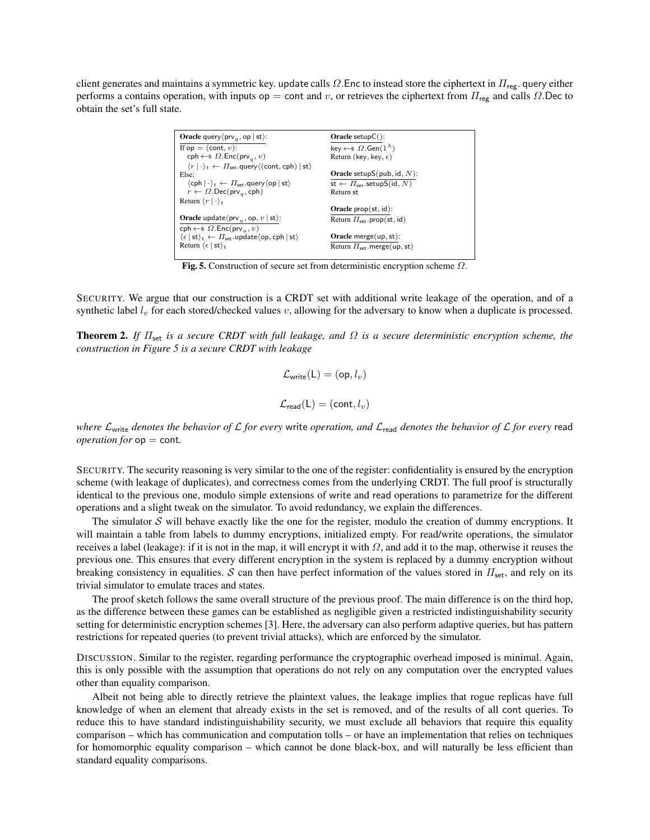client generates and maintains a symmetric key. update calls  $\Omega$ . Enc to instead store the ciphertext in  $\Pi_{\text{reg}}$ . query either performs a contains operation, with inputs op = cont and v, or retrieves the ciphertext from  $\Pi_{\text{reg}}$  and calls  $\Omega$ . Dec to obtain the set's full state.

| <b>Oracle</b> query $\langle \text{prv}_{a}, \text{op}   \text{st} \rangle$ :                                             | Oracle setup $C()$ :                               |
|---------------------------------------------------------------------------------------------------------------------------|----------------------------------------------------|
| If $op = (cont, v)$ :                                                                                                     | key $\leftarrow$ \$ $\Omega$ . Gen $(1^{\lambda})$ |
| cph $\leftarrow$ \$ $\Omega$ . Enc(prv <sub>a</sub> , v)                                                                  | Return (key, key, $\epsilon$ )                     |
| $\langle r   \cdot \rangle_t \leftarrow \Pi_{\text{set}}$ . query $\langle (\text{cont}, \text{cph})   \text{st} \rangle$ |                                                    |
| Else:                                                                                                                     | <b>Oracle</b> setupS(pub, id, $N$ ):               |
| $\langle$ cph $ \cdot\rangle_t \leftarrow \Pi_{\text{set}}$ . query $\langle$ op   st $\rangle$                           | st $\leftarrow \Pi_{\text{set}}$ .setupS(id, N)    |
| $r \leftarrow \Omega$ .Dec(prv <sub>a</sub> , cph)                                                                        | Return st                                          |
| Return $\langle r   \cdot \rangle_t$                                                                                      |                                                    |
|                                                                                                                           | Oracle $prop(st, id)$ :                            |
| <b>Oracle</b> update $\langle$ prv <sub>n</sub> , op, $v  $ st $\rangle$ :                                                | Return $\Pi_{\text{set}}$ . prop(st, id)           |
| $\mathsf{cph} \leftarrow \mathsf{\$} \Omega.\mathsf{Enc}(\mathsf{prv}_{\alpha}, v)$                                       |                                                    |
| $\langle \epsilon  $ st $\rangle_t \leftarrow \Pi_{\mathsf{set}}$ .update $\langle$ op, cph   st $\rangle$                | Oracle merge $(up, st)$ :                          |
| Return $\langle \epsilon  $ st $\rangle_t$                                                                                | Return $\Pi_{\text{set}}$ . merge(up, st)          |

Fig. 5. Construction of secure set from deterministic encryption scheme  $\Omega$ .

SECURITY. We argue that our construction is a CRDT set with additional write leakage of the operation, and of a synthetic label  $l_v$  for each stored/checked values v, allowing for the adversary to know when a duplicate is processed.

Theorem 2. *If* Πset *is a secure CRDT with full leakage, and* Ω *is a secure deterministic encryption scheme, the construction in Figure 5 is a secure CRDT with leakage*

$$
\mathcal{L}_{\text{write}}(\mathsf{L}) = (\mathsf{op}, l_v)
$$
  

$$
\mathcal{L}_{\text{read}}(\mathsf{L}) = (\text{cont}, l_v)
$$

*where*  $L_{\text{write}}$  *denotes the behavior of*  $L$  *for every* write *operation, and*  $L_{\text{read}}$  *denotes the behavior of*  $L$  *for every* read *operation for* op = cont*.*

SECURITY. The security reasoning is very similar to the one of the register: confidentiality is ensured by the encryption scheme (with leakage of duplicates), and correctness comes from the underlying CRDT. The full proof is structurally identical to the previous one, modulo simple extensions of write and read operations to parametrize for the different operations and a slight tweak on the simulator. To avoid redundancy, we explain the differences.

The simulator  $S$  will behave exactly like the one for the register, modulo the creation of dummy encryptions. It will maintain a table from labels to dummy encryptions, initialized empty. For read/write operations, the simulator receives a label (leakage): if it is not in the map, it will encrypt it with  $\Omega$ , and add it to the map, otherwise it reuses the previous one. This ensures that every different encryption in the system is replaced by a dummy encryption without breaking consistency in equalities. S can then have perfect information of the values stored in  $\Pi_{\text{set}}$ , and rely on its trivial simulator to emulate traces and states.

The proof sketch follows the same overall structure of the previous proof. The main difference is on the third hop, as the difference between these games can be established as negligible given a restricted indistinguishability security setting for deterministic encryption schemes [3]. Here, the adversary can also perform adaptive queries, but has pattern restrictions for repeated queries (to prevent trivial attacks), which are enforced by the simulator.

DISCUSSION. Similar to the register, regarding performance the cryptographic overhead imposed is minimal. Again, this is only possible with the assumption that operations do not rely on any computation over the encrypted values other than equality comparison.

Albeit not being able to directly retrieve the plaintext values, the leakage implies that rogue replicas have full knowledge of when an element that already exists in the set is removed, and of the results of all cont queries. To reduce this to have standard indistinguishability security, we must exclude all behaviors that require this equality comparison – which has communication and computation tolls – or have an implementation that relies on techniques for homomorphic equality comparison – which cannot be done black-box, and will naturally be less efficient than standard equality comparisons.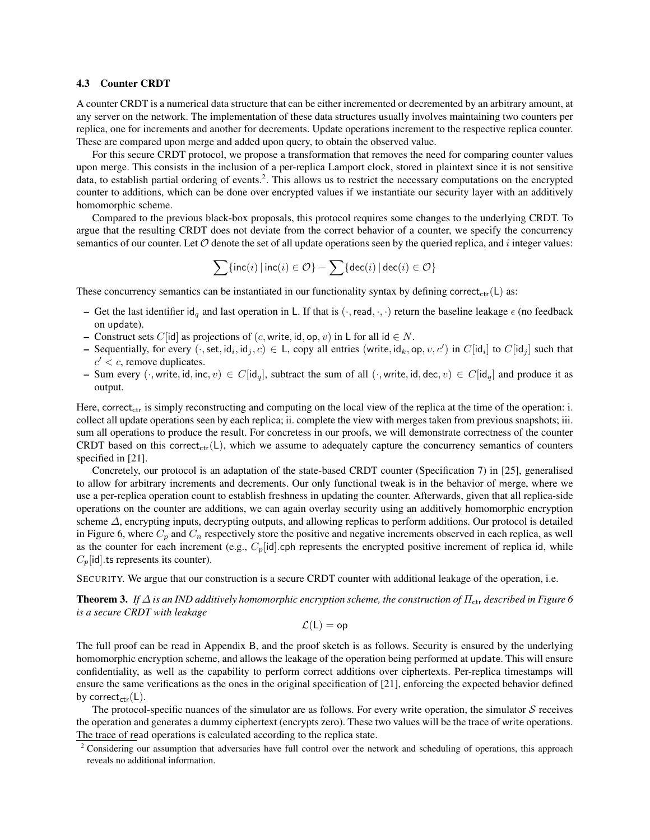#### 4.3 Counter CRDT

A counter CRDT is a numerical data structure that can be either incremented or decremented by an arbitrary amount, at any server on the network. The implementation of these data structures usually involves maintaining two counters per replica, one for increments and another for decrements. Update operations increment to the respective replica counter. These are compared upon merge and added upon query, to obtain the observed value.

For this secure CRDT protocol, we propose a transformation that removes the need for comparing counter values upon merge. This consists in the inclusion of a per-replica Lamport clock, stored in plaintext since it is not sensitive data, to establish partial ordering of events.<sup>2</sup>. This allows us to restrict the necessary computations on the encrypted counter to additions, which can be done over encrypted values if we instantiate our security layer with an additively homomorphic scheme.

Compared to the previous black-box proposals, this protocol requires some changes to the underlying CRDT. To argue that the resulting CRDT does not deviate from the correct behavior of a counter, we specify the concurrency semantics of our counter. Let  $\mathcal O$  denote the set of all update operations seen by the queried replica, and i integer values:

$$
\sum \{ \textsf{inc}(i) \, | \, \textsf{inc}(i) \in \mathcal{O} \} - \sum \{ \textsf{dec}(i) \, | \, \textsf{dec}(i) \in \mathcal{O} \}
$$

These concurrency semantics can be instantiated in our functionality syntax by defining correct<sub>ctr</sub>(L) as:

- Get the last identifier  $id_q$  and last operation in L. If that is  $(\cdot, \text{read}, \cdot, \cdot)$  return the baseline leakage  $\epsilon$  (no feedback on update).
- Construct sets C[id] as projections of  $(c, write, id, op, v)$  in L for all  $id \in N$ .
- Sequentially, for every  $(\cdot, \text{set}, \text{id}_i, \text{id}_j, c) \in L$ , copy all entries (write,  $\text{id}_k$ , op,  $v, c'$ ) in  $C[\text{id}_i]$  to  $C[\text{id}_j]$  such that  $c' < c$ , remove duplicates.
- Sum every  $(\cdot, \text{write}, \text{id}, \text{inc}, v) \in C[\text{id}_a]$ , subtract the sum of all  $(\cdot, \text{write}, \text{id}, \text{dec}, v) \in C[\text{id}_a]$  and produce it as output.

Here, correct<sub>ctr</sub> is simply reconstructing and computing on the local view of the replica at the time of the operation: i. collect all update operations seen by each replica; ii. complete the view with merges taken from previous snapshots; iii. sum all operations to produce the result. For concretess in our proofs, we will demonstrate correctness of the counter CRDT based on this correct<sub>ctr</sub>(L), which we assume to adequately capture the concurrency semantics of counters specified in [21].

Concretely, our protocol is an adaptation of the state-based CRDT counter (Specification 7) in [25], generalised to allow for arbitrary increments and decrements. Our only functional tweak is in the behavior of merge, where we use a per-replica operation count to establish freshness in updating the counter. Afterwards, given that all replica-side operations on the counter are additions, we can again overlay security using an additively homomorphic encryption scheme  $\Delta$ , encrypting inputs, decrypting outputs, and allowing replicas to perform additions. Our protocol is detailed in Figure 6, where  $C_p$  and  $C_n$  respectively store the positive and negative increments observed in each replica, as well as the counter for each increment (e.g.,  $C_p[\text{id}].$ cph represents the encrypted positive increment of replica id, while  $C_p$ [id].ts represents its counter).

SECURITY. We argue that our construction is a secure CRDT counter with additional leakage of the operation, i.e.

**Theorem 3.** *If*  $\Delta$  *is an IND additively homomorphic encryption scheme, the construction of*  $\Pi_{\text{ctr}}$  *described in Figure* 6 *is a secure CRDT with leakage*

$$
\mathcal{L}(\mathsf{L})=\mathsf{op}
$$

The full proof can be read in Appendix B, and the proof sketch is as follows. Security is ensured by the underlying homomorphic encryption scheme, and allows the leakage of the operation being performed at update. This will ensure confidentiality, as well as the capability to perform correct additions over ciphertexts. Per-replica timestamps will ensure the same verifications as the ones in the original specification of [21], enforcing the expected behavior defined by correct<sub>ctr</sub> $(L)$ .

The protocol-specific nuances of the simulator are as follows. For every write operation, the simulator  $S$  receives the operation and generates a dummy ciphertext (encrypts zero). These two values will be the trace of write operations. The trace of read operations is calculated according to the replica state.

 $2$  Considering our assumption that adversaries have full control over the network and scheduling of operations, this approach reveals no additional information.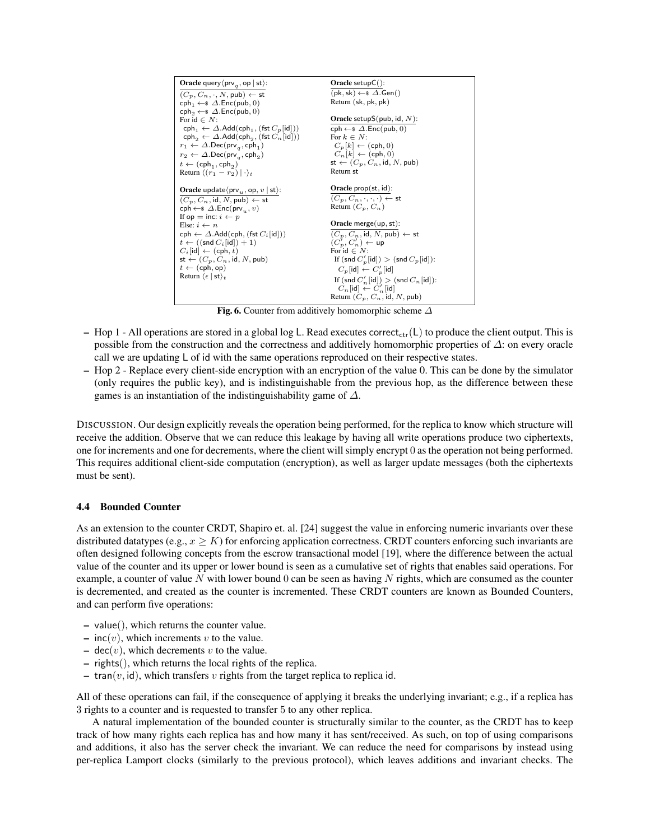

Fig. 6. Counter from additively homomorphic scheme  $\Delta$ 

- Hop 1 All operations are stored in a global log L. Read executes correct<sub>ctr</sub>(L) to produce the client output. This is possible from the construction and the correctness and additively homomorphic properties of ∆: on every oracle call we are updating L of id with the same operations reproduced on their respective states.
- Hop 2 Replace every client-side encryption with an encryption of the value 0. This can be done by the simulator (only requires the public key), and is indistinguishable from the previous hop, as the difference between these games is an instantiation of the indistinguishability game of ∆.

DISCUSSION. Our design explicitly reveals the operation being performed, for the replica to know which structure will receive the addition. Observe that we can reduce this leakage by having all write operations produce two ciphertexts, one for increments and one for decrements, where the client will simply encrypt 0 as the operation not being performed. This requires additional client-side computation (encryption), as well as larger update messages (both the ciphertexts must be sent).

#### 4.4 Bounded Counter

As an extension to the counter CRDT, Shapiro et. al. [24] suggest the value in enforcing numeric invariants over these distributed datatypes (e.g.,  $x \geq K$ ) for enforcing application correctness. CRDT counters enforcing such invariants are often designed following concepts from the escrow transactional model [19], where the difference between the actual value of the counter and its upper or lower bound is seen as a cumulative set of rights that enables said operations. For example, a counter of value N with lower bound 0 can be seen as having N rights, which are consumed as the counter is decremented, and created as the counter is incremented. These CRDT counters are known as Bounded Counters, and can perform five operations:

- value(), which returns the counter value.
- $inc(v)$ , which increments v to the value.
- dec $(v)$ , which decrements v to the value.
- rights(), which returns the local rights of the replica.
- tran( $v$ , id), which transfers  $v$  rights from the target replica to replica id.

All of these operations can fail, if the consequence of applying it breaks the underlying invariant; e.g., if a replica has 3 rights to a counter and is requested to transfer 5 to any other replica.

A natural implementation of the bounded counter is structurally similar to the counter, as the CRDT has to keep track of how many rights each replica has and how many it has sent/received. As such, on top of using comparisons and additions, it also has the server check the invariant. We can reduce the need for comparisons by instead using per-replica Lamport clocks (similarly to the previous protocol), which leaves additions and invariant checks. The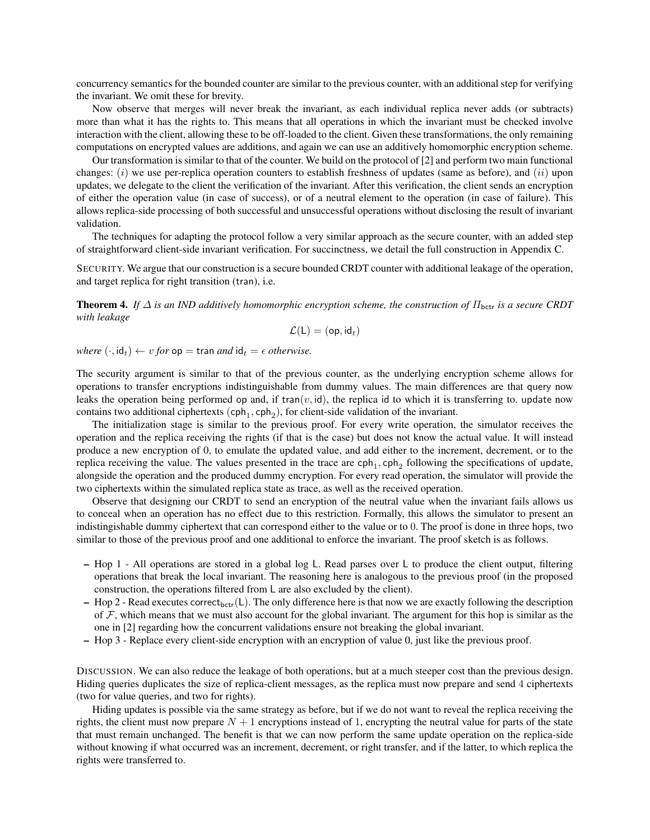concurrency semantics for the bounded counter are similar to the previous counter, with an additional step for verifying the invariant. We omit these for brevity.

Now observe that merges will never break the invariant, as each individual replica never adds (or subtracts) more than what it has the rights to. This means that all operations in which the invariant must be checked involve interaction with the client, allowing these to be off-loaded to the client. Given these transformations, the only remaining computations on encrypted values are additions, and again we can use an additively homomorphic encryption scheme.

Our transformation is similar to that of the counter. We build on the protocol of [2] and perform two main functional changes:  $(i)$  we use per-replica operation counters to establish freshness of updates (same as before), and  $(ii)$  upon updates, we delegate to the client the verification of the invariant. After this verification, the client sends an encryption of either the operation value (in case of success), or of a neutral element to the operation (in case of failure). This allows replica-side processing of both successful and unsuccessful operations without disclosing the result of invariant validation.

The techniques for adapting the protocol follow a very similar approach as the secure counter, with an added step of straightforward client-side invariant verification. For succinctness, we detail the full construction in Appendix C.

SECURITY. We argue that our construction is a secure bounded CRDT counter with additional leakage of the operation, and target replica for right transition (tran), i.e.

**Theorem 4.** *If*  $\Delta$  *is an IND additively homomorphic encryption scheme, the construction of*  $\Pi_{\text{bctr}}$  *is a secure CRDT with leakage*

$$
\mathcal{L}(\mathsf{L})=(\mathsf{op},\mathsf{id}_t)
$$

*where*  $(\cdot, id_t) \leftarrow v$  *for*  $op = \text{tran}$  *and*  $id_t = \epsilon$  *otherwise.* 

The security argument is similar to that of the previous counter, as the underlying encryption scheme allows for operations to transfer encryptions indistinguishable from dummy values. The main differences are that query now leaks the operation being performed op and, if tran $(v, id)$ , the replica id to which it is transferring to. update now contains two additional ciphertexts  $(\text{cph}_1, \text{cph}_2)$ , for client-side validation of the invariant.

The initialization stage is similar to the previous proof. For every write operation, the simulator receives the operation and the replica receiving the rights (if that is the case) but does not know the actual value. It will instead produce a new encryption of 0, to emulate the updated value, and add either to the increment, decrement, or to the replica receiving the value. The values presented in the trace are  $\text{cph}_1$ ,  $\text{cph}_2$  following the specifications of update, alongside the operation and the produced dummy encryption. For every read operation, the simulator will provide the two ciphertexts within the simulated replica state as trace, as well as the received operation.

Observe that designing our CRDT to send an encryption of the neutral value when the invariant fails allows us to conceal when an operation has no effect due to this restriction. Formally, this allows the simulator to present an indistingishable dummy ciphertext that can correspond either to the value or to 0. The proof is done in three hops, two similar to those of the previous proof and one additional to enforce the invariant. The proof sketch is as follows.

- Hop 1 All operations are stored in a global log L. Read parses over L to produce the client output, filtering operations that break the local invariant. The reasoning here is analogous to the previous proof (in the proposed construction, the operations filtered from L are also excluded by the client).
- Hop 2 Read executes correct<sub>bctr</sub>(L). The only difference here is that now we are exactly following the description of  $F$ , which means that we must also account for the global invariant. The argument for this hop is similar as the one in [2] regarding how the concurrent validations ensure not breaking the global invariant.
- Hop 3 Replace every client-side encryption with an encryption of value 0, just like the previous proof.

DISCUSSION. We can also reduce the leakage of both operations, but at a much steeper cost than the previous design. Hiding queries duplicates the size of replica-client messages, as the replica must now prepare and send 4 ciphertexts (two for value queries, and two for rights).

Hiding updates is possible via the same strategy as before, but if we do not want to reveal the replica receiving the rights, the client must now prepare  $N + 1$  encryptions instead of 1, encrypting the neutral value for parts of the state that must remain unchanged. The benefit is that we can now perform the same update operation on the replica-side without knowing if what occurred was an increment, decrement, or right transfer, and if the latter, to which replica the rights were transferred to.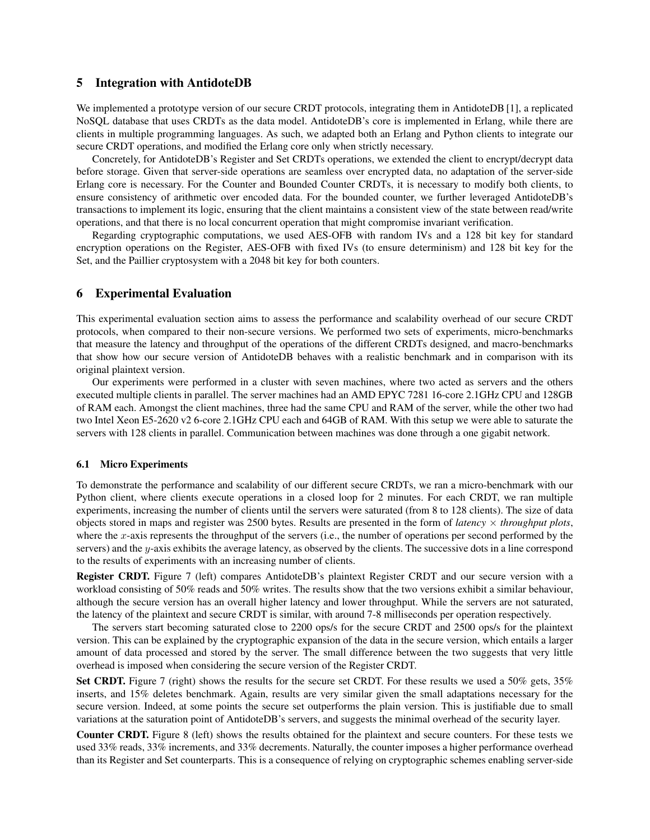### 5 Integration with AntidoteDB

We implemented a prototype version of our secure CRDT protocols, integrating them in AntidoteDB [1], a replicated NoSQL database that uses CRDTs as the data model. AntidoteDB's core is implemented in Erlang, while there are clients in multiple programming languages. As such, we adapted both an Erlang and Python clients to integrate our secure CRDT operations, and modified the Erlang core only when strictly necessary.

Concretely, for AntidoteDB's Register and Set CRDTs operations, we extended the client to encrypt/decrypt data before storage. Given that server-side operations are seamless over encrypted data, no adaptation of the server-side Erlang core is necessary. For the Counter and Bounded Counter CRDTs, it is necessary to modify both clients, to ensure consistency of arithmetic over encoded data. For the bounded counter, we further leveraged AntidoteDB's transactions to implement its logic, ensuring that the client maintains a consistent view of the state between read/write operations, and that there is no local concurrent operation that might compromise invariant verification.

Regarding cryptographic computations, we used AES-OFB with random IVs and a 128 bit key for standard encryption operations on the Register, AES-OFB with fixed IVs (to ensure determinism) and 128 bit key for the Set, and the Paillier cryptosystem with a 2048 bit key for both counters.

### 6 Experimental Evaluation

This experimental evaluation section aims to assess the performance and scalability overhead of our secure CRDT protocols, when compared to their non-secure versions. We performed two sets of experiments, micro-benchmarks that measure the latency and throughput of the operations of the different CRDTs designed, and macro-benchmarks that show how our secure version of AntidoteDB behaves with a realistic benchmark and in comparison with its original plaintext version.

Our experiments were performed in a cluster with seven machines, where two acted as servers and the others executed multiple clients in parallel. The server machines had an AMD EPYC 7281 16-core 2.1GHz CPU and 128GB of RAM each. Amongst the client machines, three had the same CPU and RAM of the server, while the other two had two Intel Xeon E5-2620 v2 6-core 2.1GHz CPU each and 64GB of RAM. With this setup we were able to saturate the servers with 128 clients in parallel. Communication between machines was done through a one gigabit network.

#### 6.1 Micro Experiments

To demonstrate the performance and scalability of our different secure CRDTs, we ran a micro-benchmark with our Python client, where clients execute operations in a closed loop for 2 minutes. For each CRDT, we ran multiple experiments, increasing the number of clients until the servers were saturated (from 8 to 128 clients). The size of data objects stored in maps and register was 2500 bytes. Results are presented in the form of *latency* × *throughput plots*, where the  $x$ -axis represents the throughput of the servers (i.e., the number of operations per second performed by the servers) and the y-axis exhibits the average latency, as observed by the clients. The successive dots in a line correspond to the results of experiments with an increasing number of clients.

Register CRDT. Figure 7 (left) compares AntidoteDB's plaintext Register CRDT and our secure version with a workload consisting of 50% reads and 50% writes. The results show that the two versions exhibit a similar behaviour, although the secure version has an overall higher latency and lower throughput. While the servers are not saturated, the latency of the plaintext and secure CRDT is similar, with around 7-8 milliseconds per operation respectively.

The servers start becoming saturated close to 2200 ops/s for the secure CRDT and 2500 ops/s for the plaintext version. This can be explained by the cryptographic expansion of the data in the secure version, which entails a larger amount of data processed and stored by the server. The small difference between the two suggests that very little overhead is imposed when considering the secure version of the Register CRDT.

Set CRDT. Figure 7 (right) shows the results for the secure set CRDT. For these results we used a 50% gets, 35% inserts, and 15% deletes benchmark. Again, results are very similar given the small adaptations necessary for the secure version. Indeed, at some points the secure set outperforms the plain version. This is justifiable due to small variations at the saturation point of AntidoteDB's servers, and suggests the minimal overhead of the security layer.

Counter CRDT. Figure 8 (left) shows the results obtained for the plaintext and secure counters. For these tests we used 33% reads, 33% increments, and 33% decrements. Naturally, the counter imposes a higher performance overhead than its Register and Set counterparts. This is a consequence of relying on cryptographic schemes enabling server-side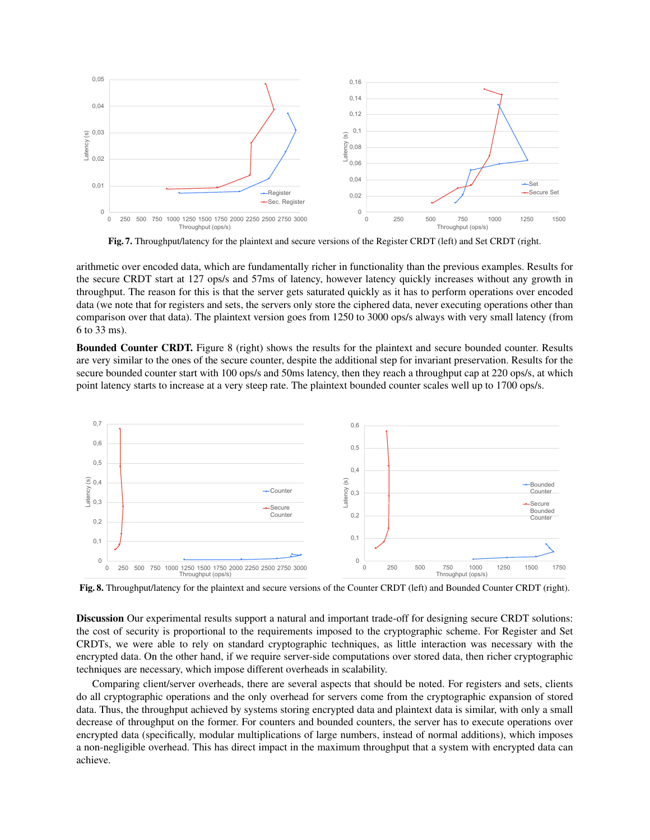

Fig. 7. Throughput/latency for the plaintext and secure versions of the Register CRDT (left) and Set CRDT (right.

arithmetic over encoded data, which are fundamentally richer in functionality than the previous examples. Results for the secure CRDT start at 127 ops/s and 57ms of latency, however latency quickly increases without any growth in throughput. The reason for this is that the server gets saturated quickly as it has to perform operations over encoded data (we note that for registers and sets, the servers only store the ciphered data, never executing operations other than comparison over that data). The plaintext version goes from 1250 to 3000 ops/s always with very small latency (from 6 to 33 ms).

Bounded Counter CRDT. Figure 8 (right) shows the results for the plaintext and secure bounded counter. Results are very similar to the ones of the secure counter, despite the additional step for invariant preservation. Results for the secure bounded counter start with 100 ops/s and 50ms latency, then they reach a throughput cap at 220 ops/s, at which point latency starts to increase at a very steep rate. The plaintext bounded counter scales well up to 1700 ops/s.



Fig. 8. Throughput/latency for the plaintext and secure versions of the Counter CRDT (left) and Bounded Counter CRDT (right).

Discussion Our experimental results support a natural and important trade-off for designing secure CRDT solutions: the cost of security is proportional to the requirements imposed to the cryptographic scheme. For Register and Set CRDTs, we were able to rely on standard cryptographic techniques, as little interaction was necessary with the encrypted data. On the other hand, if we require server-side computations over stored data, then richer cryptographic techniques are necessary, which impose different overheads in scalability.

Comparing client/server overheads, there are several aspects that should be noted. For registers and sets, clients do all cryptographic operations and the only overhead for servers come from the cryptographic expansion of stored data. Thus, the throughput achieved by systems storing encrypted data and plaintext data is similar, with only a small decrease of throughput on the former. For counters and bounded counters, the server has to execute operations over encrypted data (specifically, modular multiplications of large numbers, instead of normal additions), which imposes a non-negligible overhead. This has direct impact in the maximum throughput that a system with encrypted data can achieve.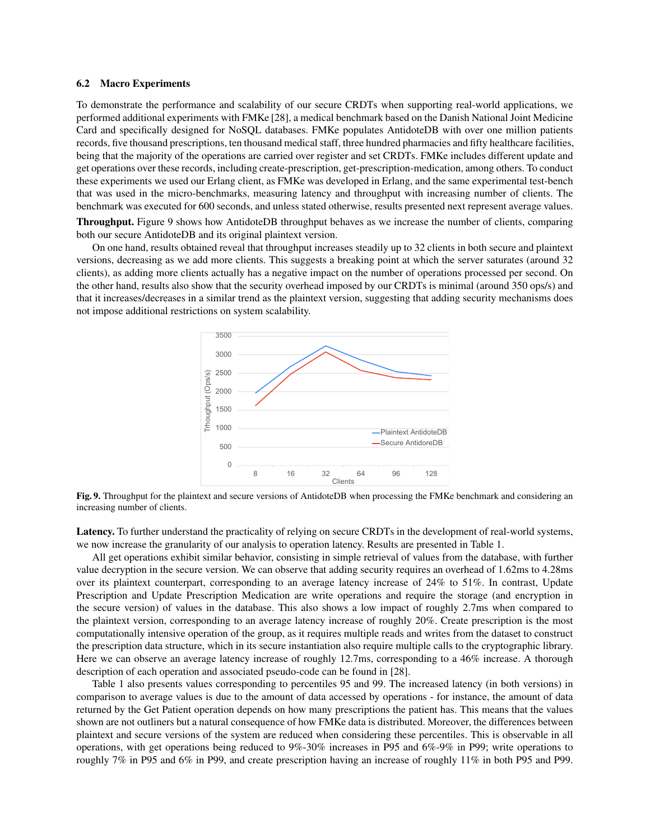#### 6.2 Macro Experiments

To demonstrate the performance and scalability of our secure CRDTs when supporting real-world applications, we performed additional experiments with FMKe [28], a medical benchmark based on the Danish National Joint Medicine Card and specifically designed for NoSQL databases. FMKe populates AntidoteDB with over one million patients records, five thousand prescriptions, ten thousand medical staff, three hundred pharmacies and fifty healthcare facilities, being that the majority of the operations are carried over register and set CRDTs. FMKe includes different update and get operations over these records, including create-prescription, get-prescription-medication, among others. To conduct these experiments we used our Erlang client, as FMKe was developed in Erlang, and the same experimental test-bench that was used in the micro-benchmarks, measuring latency and throughput with increasing number of clients. The benchmark was executed for 600 seconds, and unless stated otherwise, results presented next represent average values.

Throughput. Figure 9 shows how AntidoteDB throughput behaves as we increase the number of clients, comparing both our secure AntidoteDB and its original plaintext version.

On one hand, results obtained reveal that throughput increases steadily up to 32 clients in both secure and plaintext versions, decreasing as we add more clients. This suggests a breaking point at which the server saturates (around 32 clients), as adding more clients actually has a negative impact on the number of operations processed per second. On the other hand, results also show that the security overhead imposed by our CRDTs is minimal (around 350 ops/s) and that it increases/decreases in a similar trend as the plaintext version, suggesting that adding security mechanisms does not impose additional restrictions on system scalability.



Fig. 9. Throughput for the plaintext and secure versions of AntidoteDB when processing the FMKe benchmark and considering an increasing number of clients.

Latency. To further understand the practicality of relying on secure CRDTs in the development of real-world systems, we now increase the granularity of our analysis to operation latency. Results are presented in Table 1.

All get operations exhibit similar behavior, consisting in simple retrieval of values from the database, with further value decryption in the secure version. We can observe that adding security requires an overhead of 1.62ms to 4.28ms over its plaintext counterpart, corresponding to an average latency increase of 24% to 51%. In contrast, Update Prescription and Update Prescription Medication are write operations and require the storage (and encryption in the secure version) of values in the database. This also shows a low impact of roughly 2.7ms when compared to the plaintext version, corresponding to an average latency increase of roughly 20%. Create prescription is the most computationally intensive operation of the group, as it requires multiple reads and writes from the dataset to construct the prescription data structure, which in its secure instantiation also require multiple calls to the cryptographic library. Here we can observe an average latency increase of roughly 12.7ms, corresponding to a 46% increase. A thorough description of each operation and associated pseudo-code can be found in [28].

Table 1 also presents values corresponding to percentiles 95 and 99. The increased latency (in both versions) in comparison to average values is due to the amount of data accessed by operations - for instance, the amount of data returned by the Get Patient operation depends on how many prescriptions the patient has. This means that the values shown are not outliners but a natural consequence of how FMKe data is distributed. Moreover, the differences between plaintext and secure versions of the system are reduced when considering these percentiles. This is observable in all operations, with get operations being reduced to 9%-30% increases in P95 and 6%-9% in P99; write operations to roughly 7% in P95 and 6% in P99, and create prescription having an increase of roughly 11% in both P95 and P99.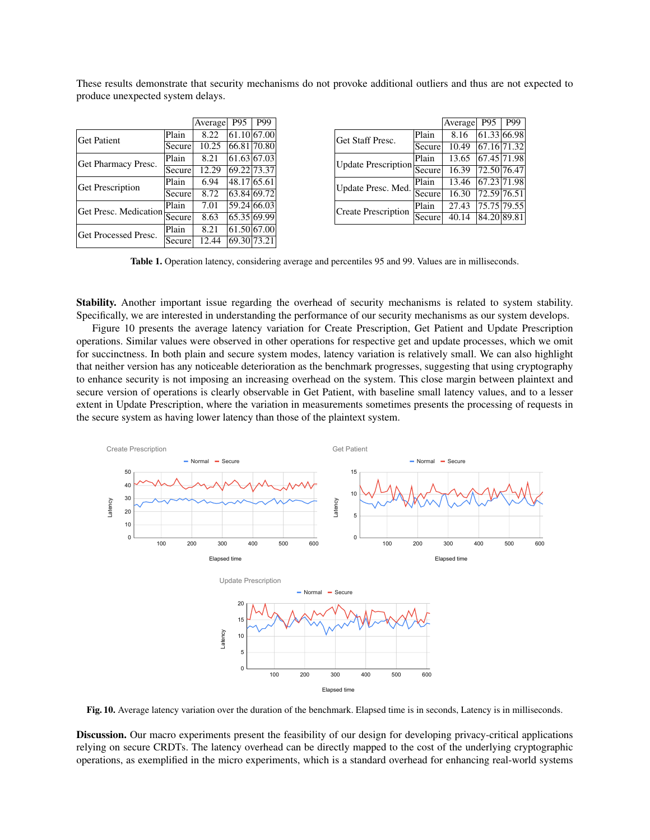These results demonstrate that security mechanisms do not provoke additional outliers and thus are not expected to produce unexpected system delays.

|                         |                                                                                                  | Average | P <sub>95</sub> | P99         |
|-------------------------|--------------------------------------------------------------------------------------------------|---------|-----------------|-------------|
| Get Patient             | Plain                                                                                            | 8.22    |                 | 61.10 67.00 |
|                         |                                                                                                  | 10.25   |                 | 66.81 70.80 |
| Get Pharmacy Presc.     | Secure<br>Plain<br>Secure<br>Plain<br>Secure<br>Plain<br>Secure<br>Plain<br>Get Processed Presc. | 8.21    |                 | 61.63 67.03 |
|                         |                                                                                                  | 12.29   |                 | 69.22 73.37 |
| <b>Get Prescription</b> |                                                                                                  | 6.94    | 48.17 65.61     |             |
|                         |                                                                                                  | 8.72    |                 | 63.84 69.72 |
| Get Presc. Medication   |                                                                                                  | 7.01    |                 | 59.24 66.03 |
|                         |                                                                                                  | 8.63    |                 | 65.35 69.99 |
|                         |                                                                                                  | 8.21    |                 | 61.50 67.00 |
| Secure                  |                                                                                                  | 12.44   | 69.30 73.21     |             |

|                              |                           | Average | P <sub>95</sub>      | P99         |
|------------------------------|---------------------------|---------|----------------------|-------------|
| Get Staff Presc.             | Plain                     | 8.16    | 61.33 66.98          |             |
|                              | Secure                    | 10.49   |                      | 67.16 71.32 |
| Plain<br>Update Prescription |                           | 13.65   | 67.45 71.98          |             |
|                              | 16.39                     |         | 72.50 76.47          |             |
| Update Presc. Med.           | Plain                     | 13.46   | 67.23 71.98          |             |
|                              | Secure<br>Secure<br>Plain | 16.30   | $\sqrt{72.59}$ 76.51 |             |
| <b>Create Prescription</b>   |                           | 27.43   |                      | 75.75 79.55 |
|                              | Secure                    | 40.14   | 84.20 89.81          |             |

Table 1. Operation latency, considering average and percentiles 95 and 99. Values are in milliseconds.

Stability. Another important issue regarding the overhead of security mechanisms is related to system stability. Specifically, we are interested in understanding the performance of our security mechanisms as our system develops.

Figure 10 presents the average latency variation for Create Prescription, Get Patient and Update Prescription operations. Similar values were observed in other operations for respective get and update processes, which we omit for succinctness. In both plain and secure system modes, latency variation is relatively small. We can also highlight that neither version has any noticeable deterioration as the benchmark progresses, suggesting that using cryptography to enhance security is not imposing an increasing overhead on the system. This close margin between plaintext and secure version of operations is clearly observable in Get Patient, with baseline small latency values, and to a lesser extent in Update Prescription, where the variation in measurements sometimes presents the processing of requests in the secure system as having lower latency than those of the plaintext system.



Fig. 10. Average latency variation over the duration of the benchmark. Elapsed time is in seconds, Latency is in milliseconds.

Discussion. Our macro experiments present the feasibility of our design for developing privacy-critical applications relying on secure CRDTs. The latency overhead can be directly mapped to the cost of the underlying cryptographic operations, as exemplified in the micro experiments, which is a standard overhead for enhancing real-world systems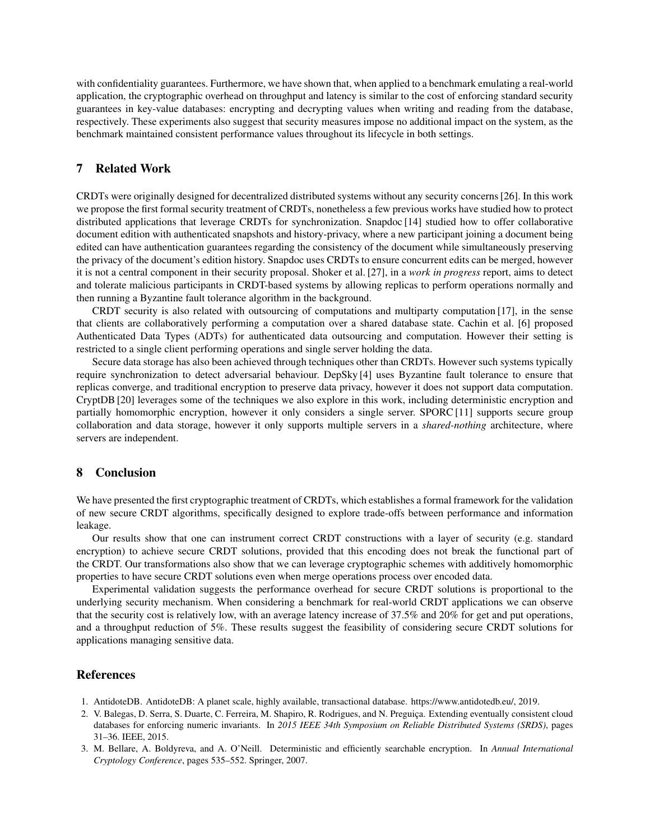with confidentiality guarantees. Furthermore, we have shown that, when applied to a benchmark emulating a real-world application, the cryptographic overhead on throughput and latency is similar to the cost of enforcing standard security guarantees in key-value databases: encrypting and decrypting values when writing and reading from the database, respectively. These experiments also suggest that security measures impose no additional impact on the system, as the benchmark maintained consistent performance values throughout its lifecycle in both settings.

## 7 Related Work

CRDTs were originally designed for decentralized distributed systems without any security concerns [26]. In this work we propose the first formal security treatment of CRDTs, nonetheless a few previous works have studied how to protect distributed applications that leverage CRDTs for synchronization. Snapdoc [14] studied how to offer collaborative document edition with authenticated snapshots and history-privacy, where a new participant joining a document being edited can have authentication guarantees regarding the consistency of the document while simultaneously preserving the privacy of the document's edition history. Snapdoc uses CRDTs to ensure concurrent edits can be merged, however it is not a central component in their security proposal. Shoker et al. [27], in a *work in progress* report, aims to detect and tolerate malicious participants in CRDT-based systems by allowing replicas to perform operations normally and then running a Byzantine fault tolerance algorithm in the background.

CRDT security is also related with outsourcing of computations and multiparty computation [17], in the sense that clients are collaboratively performing a computation over a shared database state. Cachin et al. [6] proposed Authenticated Data Types (ADTs) for authenticated data outsourcing and computation. However their setting is restricted to a single client performing operations and single server holding the data.

Secure data storage has also been achieved through techniques other than CRDTs. However such systems typically require synchronization to detect adversarial behaviour. DepSky [4] uses Byzantine fault tolerance to ensure that replicas converge, and traditional encryption to preserve data privacy, however it does not support data computation. CryptDB [20] leverages some of the techniques we also explore in this work, including deterministic encryption and partially homomorphic encryption, however it only considers a single server. SPORC [11] supports secure group collaboration and data storage, however it only supports multiple servers in a *shared-nothing* architecture, where servers are independent.

# 8 Conclusion

We have presented the first cryptographic treatment of CRDTs, which establishes a formal framework for the validation of new secure CRDT algorithms, specifically designed to explore trade-offs between performance and information leakage.

Our results show that one can instrument correct CRDT constructions with a layer of security (e.g. standard encryption) to achieve secure CRDT solutions, provided that this encoding does not break the functional part of the CRDT. Our transformations also show that we can leverage cryptographic schemes with additively homomorphic properties to have secure CRDT solutions even when merge operations process over encoded data.

Experimental validation suggests the performance overhead for secure CRDT solutions is proportional to the underlying security mechanism. When considering a benchmark for real-world CRDT applications we can observe that the security cost is relatively low, with an average latency increase of 37.5% and 20% for get and put operations, and a throughput reduction of 5%. These results suggest the feasibility of considering secure CRDT solutions for applications managing sensitive data.

### References

- 1. AntidoteDB. AntidoteDB: A planet scale, highly available, transactional database. https://www.antidotedb.eu/, 2019.
- 2. V. Balegas, D. Serra, S. Duarte, C. Ferreira, M. Shapiro, R. Rodrigues, and N. Preguiça. Extending eventually consistent cloud databases for enforcing numeric invariants. In *2015 IEEE 34th Symposium on Reliable Distributed Systems (SRDS)*, pages 31–36. IEEE, 2015.
- 3. M. Bellare, A. Boldyreva, and A. O'Neill. Deterministic and efficiently searchable encryption. In *Annual International Cryptology Conference*, pages 535–552. Springer, 2007.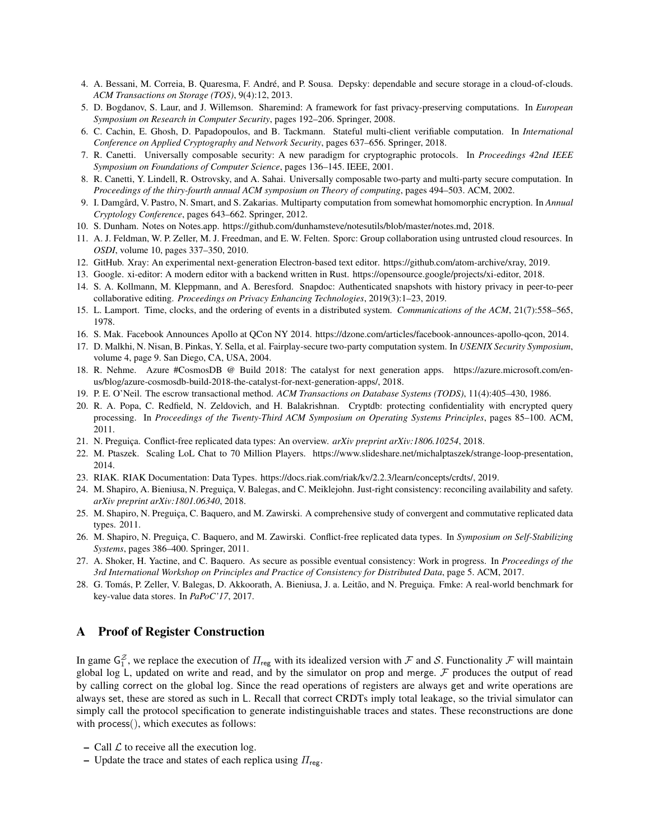- 4. A. Bessani, M. Correia, B. Quaresma, F. Andre, and P. Sousa. Depsky: dependable and secure storage in a cloud-of-clouds. ´ *ACM Transactions on Storage (TOS)*, 9(4):12, 2013.
- 5. D. Bogdanov, S. Laur, and J. Willemson. Sharemind: A framework for fast privacy-preserving computations. In *European Symposium on Research in Computer Security*, pages 192–206. Springer, 2008.
- 6. C. Cachin, E. Ghosh, D. Papadopoulos, and B. Tackmann. Stateful multi-client verifiable computation. In *International Conference on Applied Cryptography and Network Security*, pages 637–656. Springer, 2018.
- 7. R. Canetti. Universally composable security: A new paradigm for cryptographic protocols. In *Proceedings 42nd IEEE Symposium on Foundations of Computer Science*, pages 136–145. IEEE, 2001.
- 8. R. Canetti, Y. Lindell, R. Ostrovsky, and A. Sahai. Universally composable two-party and multi-party secure computation. In *Proceedings of the thiry-fourth annual ACM symposium on Theory of computing*, pages 494–503. ACM, 2002.
- 9. I. Damgård, V. Pastro, N. Smart, and S. Zakarias. Multiparty computation from somewhat homomorphic encryption. In *Annual Cryptology Conference*, pages 643–662. Springer, 2012.
- 10. S. Dunham. Notes on Notes.app. https://github.com/dunhamsteve/notesutils/blob/master/notes.md, 2018.
- 11. A. J. Feldman, W. P. Zeller, M. J. Freedman, and E. W. Felten. Sporc: Group collaboration using untrusted cloud resources. In *OSDI*, volume 10, pages 337–350, 2010.
- 12. GitHub. Xray: An experimental next-generation Electron-based text editor. https://github.com/atom-archive/xray, 2019.
- 13. Google. xi-editor: A modern editor with a backend written in Rust. https://opensource.google/projects/xi-editor, 2018.
- 14. S. A. Kollmann, M. Kleppmann, and A. Beresford. Snapdoc: Authenticated snapshots with history privacy in peer-to-peer collaborative editing. *Proceedings on Privacy Enhancing Technologies*, 2019(3):1–23, 2019.
- 15. L. Lamport. Time, clocks, and the ordering of events in a distributed system. *Communications of the ACM*, 21(7):558–565, 1978.
- 16. S. Mak. Facebook Announces Apollo at QCon NY 2014. https://dzone.com/articles/facebook-announces-apollo-qcon, 2014.
- 17. D. Malkhi, N. Nisan, B. Pinkas, Y. Sella, et al. Fairplay-secure two-party computation system. In *USENIX Security Symposium*, volume 4, page 9. San Diego, CA, USA, 2004.
- 18. R. Nehme. Azure #CosmosDB @ Build 2018: The catalyst for next generation apps. https://azure.microsoft.com/enus/blog/azure-cosmosdb-build-2018-the-catalyst-for-next-generation-apps/, 2018.
- 19. P. E. O'Neil. The escrow transactional method. *ACM Transactions on Database Systems (TODS)*, 11(4):405–430, 1986.
- 20. R. A. Popa, C. Redfield, N. Zeldovich, and H. Balakrishnan. Cryptdb: protecting confidentiality with encrypted query processing. In *Proceedings of the Twenty-Third ACM Symposium on Operating Systems Principles*, pages 85–100. ACM, 2011.
- 21. N. Preguiça. Conflict-free replicated data types: An overview. *arXiv preprint arXiv:1806.10254*, 2018.
- 22. M. Ptaszek. Scaling LoL Chat to 70 Million Players. https://www.slideshare.net/michalptaszek/strange-loop-presentation, 2014.
- 23. RIAK. RIAK Documentation: Data Types. https://docs.riak.com/riak/kv/2.2.3/learn/concepts/crdts/, 2019.
- 24. M. Shapiro, A. Bieniusa, N. Preguiça, V. Balegas, and C. Meiklejohn. Just-right consistency: reconciling availability and safety. *arXiv preprint arXiv:1801.06340*, 2018.
- 25. M. Shapiro, N. Preguiça, C. Baquero, and M. Zawirski. A comprehensive study of convergent and commutative replicated data types. 2011.
- 26. M. Shapiro, N. Preguiça, C. Baquero, and M. Zawirski. Conflict-free replicated data types. In *Symposium on Self-Stabilizing Systems*, pages 386–400. Springer, 2011.
- 27. A. Shoker, H. Yactine, and C. Baquero. As secure as possible eventual consistency: Work in progress. In *Proceedings of the 3rd International Workshop on Principles and Practice of Consistency for Distributed Data*, page 5. ACM, 2017.
- 28. G. Tomás, P. Zeller, V. Balegas, D. Akkoorath, A. Bieniusa, J. a. Leitão, and N. Preguiça. Fmke: A real-world benchmark for key-value data stores. In *PaPoC'17*, 2017.

## A Proof of Register Construction

In game  $G_1^Z$ , we replace the execution of  $\Pi_{\text{reg}}$  with its idealized version with  $\cal F$  and  $\cal S$ . Functionality  $\cal F$  will maintain global log L, updated on write and read, and by the simulator on prop and merge.  $\mathcal F$  produces the output of read by calling correct on the global log. Since the read operations of registers are always get and write operations are always set, these are stored as such in L. Recall that correct CRDTs imply total leakage, so the trivial simulator can simply call the protocol specification to generate indistinguishable traces and states. These reconstructions are done with process(), which executes as follows:

- Call  $\mathcal L$  to receive all the execution log.
- Update the trace and states of each replica using  $\Pi_{\text{rec}}$ .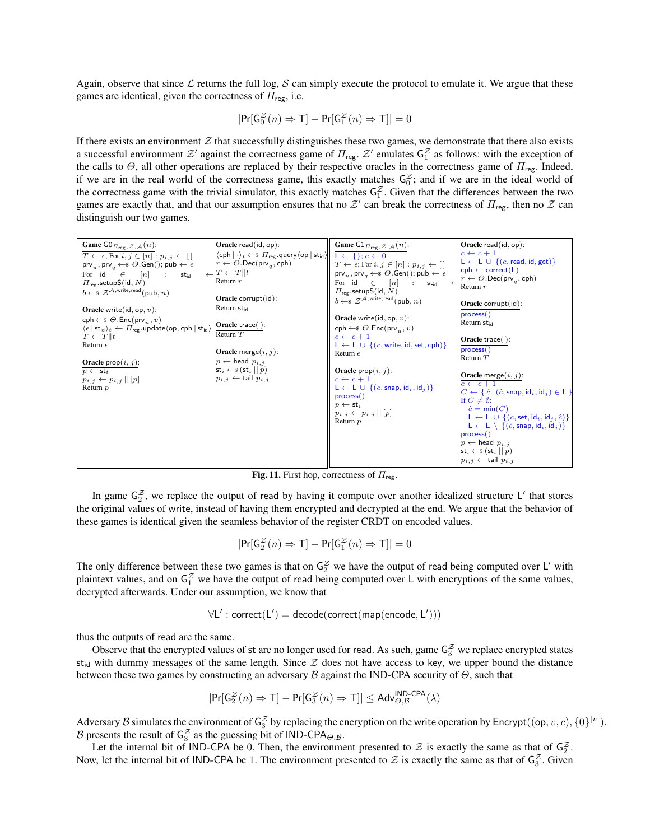Again, observe that since  $\mathcal L$  returns the full log,  $\mathcal S$  can simply execute the protocol to emulate it. We argue that these games are identical, given the correctness of  $\Pi_{\text{reg}}$ , i.e.

$$
|\mathrm{Pr}[\mathsf{G}_0^{\mathcal{Z}}(n) \Rightarrow \mathsf{T}] - \mathrm{Pr}[\mathsf{G}_1^{\mathcal{Z}}(n) \Rightarrow \mathsf{T}]| = 0
$$

If there exists an environment  $Z$  that successfully distinguishes these two games, we demonstrate that there also exists a successful environment  $\mathcal{Z}'$  against the correctness game of  $\Pi_{\text{reg}}$ .  $\mathcal{Z}'$  emulates  $\mathsf{G}_1^{\mathcal{Z}}$  as follows: with the exception of the calls to  $\Theta$ , all other operations are replaced by their respective oracles in the correctness game of  $\Pi_{reg}$ . Indeed, if we are in the real world of the correctness game, this exactly matches  $G_0^z$ ; and if we are in the ideal world of the correctness game with the trivial simulator, this exactly matches  $G_1^{\mathcal{Z}}$ . Given that the differences between the two games are exactly that, and that our assumption ensures that no  $\mathcal{Z}'$  can break the correctness of  $\Pi_{reg}$ , then no  $\mathcal{Z}$  can distinguish our two games.

| Game $\mathsf{GO}_{\varPi_{\mathsf{reg}},\mathcal{Z},\mathcal{A}}(n)$ :<br>                                                                                                                                                                                                                                                                                                                                  | Oracle $read(id, op)$ :                                                                                                                                                                                                                                                 | Game $\mathrm{G1}_{\Pi_{\text{reg}},\mathcal{Z},\mathcal{A}}(n)$ :                                                                                                                                                                                                                                                                                                                                                                                          | Oracle read $(id, op)$ :                                                                                                                                                                                                                                                                                                                                                                                                                  |
|--------------------------------------------------------------------------------------------------------------------------------------------------------------------------------------------------------------------------------------------------------------------------------------------------------------------------------------------------------------------------------------------------------------|-------------------------------------------------------------------------------------------------------------------------------------------------------------------------------------------------------------------------------------------------------------------------|-------------------------------------------------------------------------------------------------------------------------------------------------------------------------------------------------------------------------------------------------------------------------------------------------------------------------------------------------------------------------------------------------------------------------------------------------------------|-------------------------------------------------------------------------------------------------------------------------------------------------------------------------------------------------------------------------------------------------------------------------------------------------------------------------------------------------------------------------------------------------------------------------------------------|
| $T \leftarrow \epsilon$ ; For $i, j \in [n] : p_{i,j} \leftarrow [$<br>$\mathsf{prv}_u, \mathsf{prv}_a \leftarrow \mathsf{s} \Theta \mathsf{.Gen}()$ ; pub $\leftarrow \epsilon$<br>For id $\in$ $[n]$ :<br>$\mathsf{st}_\mathsf{id}$<br>$\Pi_{\text{rec}}$ . setupS(id, N)<br>$b \leftarrow$ \$ $\mathcal{Z}^{\mathcal{A}, \text{write}, \text{read}}$ (pub, n)                                             | $\langle$ cph $  \cdot \rangle_t \leftarrow \$ $\Pi_{reg}$ query $\langle$ op $ $ st <sub>id</sub> $\rangle$<br>$r \leftarrow \Theta$ . Dec(prv <sub>a</sub> , cph)<br>$\leftarrow T \leftarrow T    t$<br>Return $r$<br>Oracle corrupt(id):<br>Return st <sub>id</sub> | $L \leftarrow \{\}; c \leftarrow 0$<br>$T \leftarrow \epsilon$ ; For $i, j \in [n] : p_{i,j} \leftarrow [$<br>$\text{prv}_u, \text{prv}_a \leftarrow \$ \Theta \cdot \text{Gen}(); \text{pub} \leftarrow \epsilon$<br>For id $\in$ $[n]$ : st <sub>id</sub><br>$\Pi_{\text{res}}$ .setupS(id, N)<br>$b \leftarrow \$ \mathcal{Z}^{\mathcal{A}, \text{write}, \text{read}} (\text{pub}, n)$                                                                  | $c \leftarrow c + 1$<br>$L \leftarrow L \cup \{(c, \text{read}, \text{id}, \text{get})\}$<br>$\mathsf{cph} \leftarrow \mathsf{correct}(\mathsf{L})$<br>$r \leftarrow \Theta$ . Dec(prv <sub>q</sub> , cph)<br>$\leftarrow$ Return r<br>Oracle corrupt $(id)$ :                                                                                                                                                                            |
| <b>Oracle</b> write(id, op, $v$ ):<br>$\mathsf{cph} \leftarrow \mathsf{s} \Theta.\mathsf{Enc}(\mathsf{prv}_{u}, v)$<br>$\langle \epsilon  $ st <sub>id</sub> $\rangle_t \leftarrow \Pi_{reg}$ .update $\langle$ op, cph   st <sub>id</sub> $\rangle$<br>$T \leftarrow T    t$<br>Return $\epsilon$<br>Oracle $\text{prop}(i, j)$ :<br>$p \leftarrow st_i$<br>$p_{i,j} \leftarrow p_{i,j}    p$<br>Return $p$ | Oracle trace $()$ :<br>Return $T$<br>Oracle merge $(i, j)$ :<br>$p \leftarrow$ head $p_{i,j}$<br>$\mathsf{st}_i \leftarrow \mathsf{s} (\mathsf{st}_i    p)$<br>$p_{i,j} \leftarrow$ tail $p_{i,j}$                                                                      | <b>Oracle</b> write(id, op, $v$ ):<br>$\mathsf{cph} \leftarrow \mathsf{s} \Theta.\mathsf{Enc}(\mathsf{prv}_{u}, v)$<br>$c \leftarrow c + 1$<br>$L \leftarrow L \cup \{(c, write, id, set, cph)\}\$<br>Return $\epsilon$<br><b>Oracle</b> $\text{prop}(i, j)$ :<br>$c \leftarrow c + 1$<br>$L \leftarrow L \cup \{(c, \text{snap}, \text{id}_i, \text{id}_j)\}\$<br>process()<br>$p \leftarrow st_i$<br>$p_{i,j} \leftarrow p_{i,j}    p$<br>Return <i>p</i> | process()<br>Return $st_{id}$<br>Oracle trace():<br>process()<br>Return $T$<br>Oracle merge $(i, j)$ :<br>$c \leftarrow c + 1$<br>$C \leftarrow \{\hat{c} \mid (\hat{c}, \textsf{snap}, \textsf{id}_i, \textsf{id}_j) \in \mathsf{L}\}\$<br>If $C \neq \emptyset$ :<br>$\hat{c} = \min(C)$<br>$L \leftarrow L \cup \{(c, set, id_i, id_i, \hat{c})\}$<br>$L \leftarrow L \setminus \{(\hat{c}, \text{snap}, \text{id}_i, \text{id}_j)\}\$ |
|                                                                                                                                                                                                                                                                                                                                                                                                              |                                                                                                                                                                                                                                                                         |                                                                                                                                                                                                                                                                                                                                                                                                                                                             | process()<br>$p \leftarrow$ head $p_{i,j}$<br>$\mathsf{st}_i \leftarrow \mathsf{s} (\mathsf{st}_i    p)$<br>$p_{i,j} \leftarrow \text{tail } p_{i,j}$                                                                                                                                                                                                                                                                                     |

Fig. 11. First hop, correctness of  $\Pi_{\text{reg}}$ .

In game  $G_2^Z$ , we replace the output of read by having it compute over another idealized structure L' that stores the original values of write, instead of having them encrypted and decrypted at the end. We argue that the behavior of these games is identical given the seamless behavior of the register CRDT on encoded values.

$$
|\mathrm{Pr}[\mathsf{G}_2^{\mathcal{Z}}(n) \Rightarrow \mathsf{T}] - \mathrm{Pr}[\mathsf{G}_1^{\mathcal{Z}}(n) \Rightarrow \mathsf{T}]| = 0
$$

The only difference between these two games is that on  $G_2^{\mathcal{Z}}$  we have the output of read being computed over L' with plaintext values, and on  $G_1^z$  we have the output of read being computed over L with encryptions of the same values, decrypted afterwards. Under our assumption, we know that

$$
\forall L': \text{correct}(L') = decode(\text{correct}(\text{map}(\text{encode}, L')))
$$

thus the outputs of read are the same.

Observe that the encrypted values of st are no longer used for read. As such, game  $G_3^z$  we replace encrypted states  $st_{id}$  with dummy messages of the same length. Since  $Z$  does not have access to key, we upper bound the distance between these two games by constructing an adversary  $\beta$  against the IND-CPA security of  $\Theta$ , such that

$$
|\mathrm{Pr}[\mathsf{G}_2^{\mathcal{Z}}(n) \Rightarrow \mathsf{T}] - \mathrm{Pr}[\mathsf{G}_3^{\mathcal{Z}}(n) \Rightarrow \mathsf{T}]| \leq \mathsf{Adv}_{\Theta, \mathcal{B}}^{\mathsf{IND}\text{-}\mathsf{CPA}}(\lambda)
$$

Adversary B simulates the environment of  $G_3^Z$  by replacing the encryption on the write operation by Encrypt( $(p, v, c)$ ,  $\{0\}^{|v|}$ ). B presents the result of  $G_3^{\mathcal{Z}}$  as the guessing bit of IND-CPA<sub> $\Theta$ , $\beta$ </sub>.

Let the internal bit of IND-CPA be 0. Then, the environment presented to  $\mathcal Z$  is exactly the same as that of  $\mathsf{G}_2^{\mathcal Z}$ . Now, let the internal bit of IND-CPA be 1. The environment presented to  $\mathcal Z$  is exactly the same as that of  $\mathsf{G}_3^{\mathcal Z}$ . Given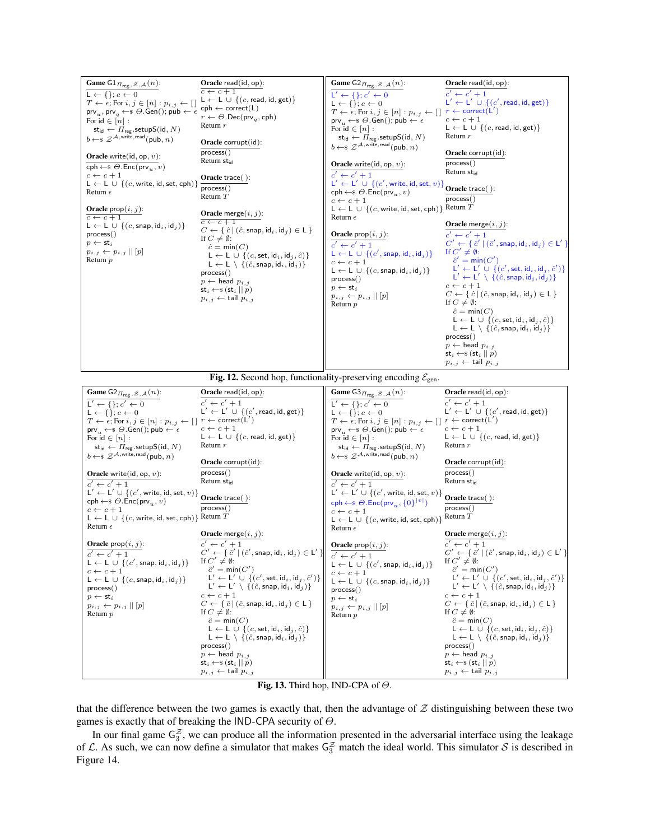

Fig. 13. Third hop, IND-CPA of  $\Theta$ .

that the difference between the two games is exactly that, then the advantage of  $Z$  distinguishing between these two games is exactly that of breaking the IND-CPA security of  $\Theta$ .

In our final game  $G_3^z$ , we can produce all the information presented in the adversarial interface using the leakage of L. As such, we can now define a simulator that makes  $G_3^z$  match the ideal world. This simulator S is described in Figure 14.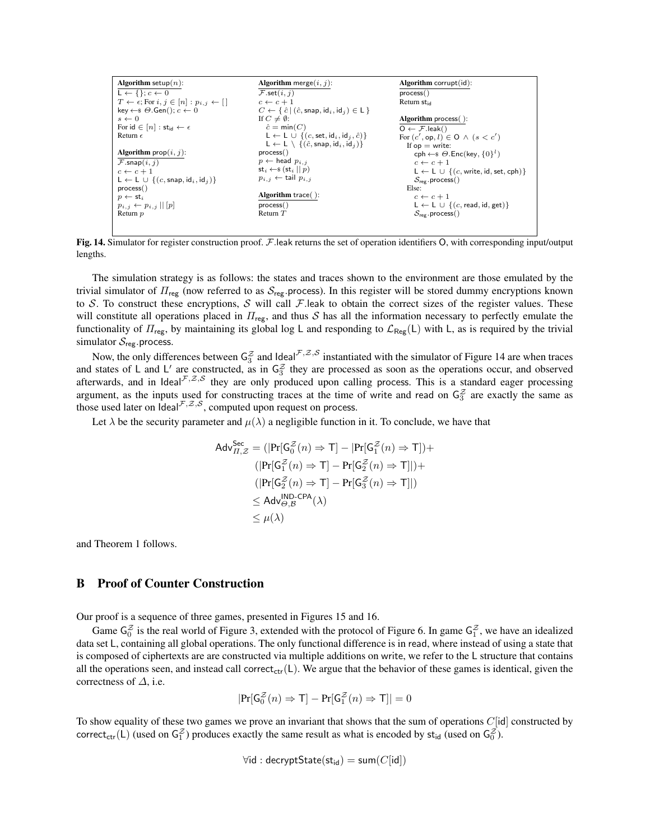```
Algorithm setup(n):
L \leftarrow \{\}; c \leftarrow 0T \leftarrow \varepsilon; For i, j \in [n] : p_{i,j} \leftarrow [key \leftarrow \$ \Theta \cdot Gen(); c \leftarrow 0s \leftarrow 0For \mathsf{id} \in [n] : \mathsf{st}_\mathsf{id} \leftarrow \epsilonReturn \epsilonAlgorithm \text{prop}(i, j):
\overline{\mathcal{F}.\mathsf{snap}}(i,j)c \leftarrow c + 1\mathsf{L} \leftarrow \mathsf{L} \; \cup \; \{(c, \mathsf{snap}, \mathsf{id}_i, \mathsf{id}_j)\}process()
p \leftarrow st_ip_{i,j} \leftarrow p_{i,j} || [p]Return p
                                                                                        Algorithm merge(i, j):
                                                                                        \overline{\mathcal{F}.\textsf{set}(i,j)}c \leftarrow c + 1C \leftarrow \{ \hat{c} \mid (\hat{c}, \text{snap}, \text{id}_i, \text{id}_j) \in \mathsf{L} \}<br>If C \neq \emptyset:
                                                                                             \hat{c} = \min(C)\mathsf{L} \leftarrow \mathsf{L} \cup \{ (c, \mathsf{set}, \mathsf{id}_i, \mathsf{id}_j, \hat{c}) \}\mathsf{L} \leftarrow \mathsf{L} \setminus \{(\hat{c},\mathsf{snap},\mathsf{id}_i,\mathsf{id}_j)\}process()
                                                                                        p \leftarrow head p_{i,j}st_i \leftarrow \s (st_i || p)
                                                                                       p_{i,j} \leftarrow tail p_{i,j}Algorithm trace( ):
                                                                                        process()
                                                                                        .<br>Return 7
                                                                                                                                                                                Algorithm corrupt(id):
                                                                                                                                                                                process()
                                                                                                                                                                                Return st<sub>id</sub>
                                                                                                                                                                                Algorithm process( ):
                                                                                                                                                                                \overline{O \leftarrow \mathcal{F}.leak()For (c', \text{op}, l) \in \mathsf{O} \land (s < c')If op = write:
                                                                                                                                                                                          \mathsf{cph} \leftarrow \mathsf{s} \Theta.\mathsf{Enc}(\mathsf{key}, \{0\}^l)c \leftarrow c + 1L ← L \cup {(c, write, id, set, cph)}
                                                                                                                                                                                         \mathcal{S}_{\text{reg}}.\text{process}()Else:
                                                                                                                                                                                         c \leftarrow c + 1\mathsf{L} \leftarrow \mathsf{L} \; \cup \; \{(c, \mathsf{read}, \mathsf{id}, \mathsf{get})\}\mathcal{S}_{reg}.process()
```
Fig. 14. Simulator for register construction proof. F.leak returns the set of operation identifiers O, with corresponding input/output lengths.

The simulation strategy is as follows: the states and traces shown to the environment are those emulated by the trivial simulator of  $\Pi_{\text{reg}}$  (now referred to as  $S_{\text{reg}}$  process). In this register will be stored dummy encryptions known to S. To construct these encryptions, S will call F. leak to obtain the correct sizes of the register values. These will constitute all operations placed in  $\Pi_{\text{reg}}$ , and thus S has all the information necessary to perfectly emulate the functionality of  $\Pi_{\text{reg}}$ , by maintaining its global log L and responding to  $\mathcal{L}_{\text{Reg}}(L)$  with L, as is required by the trivial simulator  $S_{reg}$  process.

Now, the only differences between  $G_3^Z$  and Ideal<sup> $F, Z, S$ </sup> instantiated with the simulator of Figure 14 are when traces and states of L and L' are constructed, as in  $G_3^{\mathcal{Z}}$  they are processed as soon as the operations occur, and observed afterwards, and in Ideal $\mathcal{F},\mathcal{Z},\mathcal{S}$  they are only produced upon calling process. This is a standard eager processing argument, as the inputs used for constructing traces at the time of write and read on  $\zeta_3^2$  are exactly the same as those used later on  $\text{Ideal}^{\mathcal{F},\mathcal{Z},\mathcal{S}}$ , computed upon request on process.

Let  $\lambda$  be the security parameter and  $\mu(\lambda)$  a negligible function in it. To conclude, we have that

$$
\begin{aligned}\n\mathsf{Adv}_{\Pi,\mathcal{Z}}^{\mathsf{Sec}} &= \left( \left| \Pr[\mathsf{G}_0^{\mathcal{Z}}(n) \Rightarrow \mathsf{T}] - \left| \Pr[\mathsf{G}_1^{\mathcal{Z}}(n) \Rightarrow \mathsf{T}] \right| + \\
 & \left( \left| \Pr[\mathsf{G}_1^{\mathcal{Z}}(n) \Rightarrow \mathsf{T}] - \Pr[\mathsf{G}_2^{\mathcal{Z}}(n) \Rightarrow \mathsf{T}] \right| \right) + \\
 & \left( \left| \Pr[\mathsf{G}_2^{\mathcal{Z}}(n) \Rightarrow \mathsf{T}] - \Pr[\mathsf{G}_3^{\mathcal{Z}}(n) \Rightarrow \mathsf{T}] \right| \right) \\
 & \leq \mathsf{Adv}_{\Theta,\mathcal{B}}^{\mathsf{IND}\text{-}\mathsf{CPA}}(\lambda) \\
 & \leq \mu(\lambda)\n\end{aligned}
$$

and Theorem 1 follows.

# B Proof of Counter Construction

Our proof is a sequence of three games, presented in Figures 15 and 16.

Game  $G_0^Z$  is the real world of Figure 3, extended with the protocol of Figure 6. In game  $G_1^Z$ , we have an idealized data set L, containing all global operations. The only functional difference is in read, where instead of using a state that is composed of ciphertexts are are constructed via multiple additions on write, we refer to the L structure that contains all the operations seen, and instead call correct<sub>ctr</sub>(L). We argue that the behavior of these games is identical, given the correctness of  $\Delta$ , i.e.

$$
|\mathrm{Pr}[ \mathsf{G}_0^{\mathcal{Z}}(n) \Rightarrow \mathsf{T}] - \mathrm{Pr}[ \mathsf{G}_1^{\mathcal{Z}}(n) \Rightarrow \mathsf{T}] | = 0
$$

To show equality of these two games we prove an invariant that shows that the sum of operations  $C[\text{id}]$  constructed by correct<sub>ctr</sub>(L) (used on  $G_1^{\mathcal{Z}}$ ) produces exactly the same result as what is encoded by st<sub>id</sub> (used on  $G_0^{\mathcal{Z}}$ ).

$$
\forall \mathsf{id} : \mathsf{decryptState}(\mathsf{st}_{\mathsf{id}}) = \mathsf{sum}(C[\mathsf{id}])
$$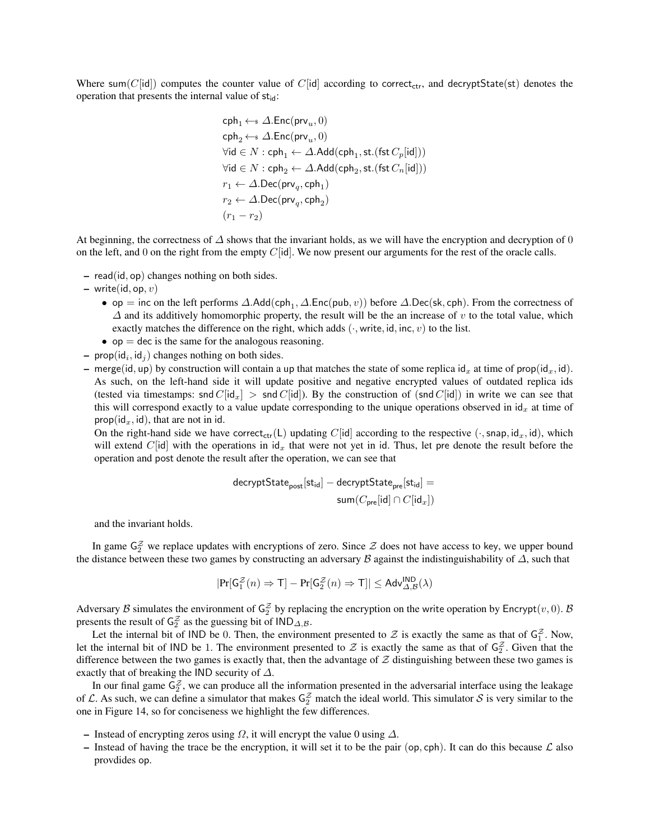Where sum(C[id]) computes the counter value of C[id] according to correct<sub>ctr</sub>, and decryptState(st) denotes the operation that presents the internal value of  $st_{id}$ :

$$
\begin{aligned} &\text{cph}_1 \leftarrow \text{s} \ \Delta.\text{Enc}(\text{prv}_u, 0)\\ &\text{cph}_2 \leftarrow \text{s} \ \Delta.\text{Enc}(\text{prv}_u, 0)\\ &\text{Vid} \in N: \text{cph}_1 \leftarrow \Delta.\text{Add}(\text{cph}_1, \text{st.}(\text{fst } C_p[\text{id}]))\\ &\text{Vid} \in N: \text{cph}_2 \leftarrow \Delta.\text{Add}(\text{cph}_2, \text{st.}(\text{fst } C_n[\text{id}]))\\ &r_1 \leftarrow \Delta.\text{Dec}(\text{prv}_q, \text{cph}_1)\\ &r_2 \leftarrow \Delta.\text{Dec}(\text{prv}_q, \text{cph}_2)\\ &\left(r_1 - r_2\right) \end{aligned}
$$

At beginning, the correctness of  $\Delta$  shows that the invariant holds, as we will have the encryption and decryption of 0 on the left, and 0 on the right from the empty  $C[id]$ . We now present our arguments for the rest of the oracle calls.

- read(id, op) changes nothing on both sides.
- write(id, op,  $v$ )
	- op = inc on the left performs  $\Delta$ .Add(cph<sub>1</sub>,  $\Delta$ .Enc(pub, v)) before  $\Delta$ .Dec(sk, cph). From the correctness of  $\Delta$  and its additively homomorphic property, the result will be the an increase of v to the total value, which exactly matches the difference on the right, which adds  $(\cdot, \text{write}, \text{id}, \text{inc}, v)$  to the list.
	- $op = dec$  is the same for the analogous reasoning.
- prop( $id_i$ ,  $id_j$ ) changes nothing on both sides.
- merge(id, up) by construction will contain a up that matches the state of some replica id<sub>x</sub> at time of prop(id<sub>x</sub>, id). As such, on the left-hand side it will update positive and negative encrypted values of outdated replica ids (tested via timestamps: snd  $C[\text{id}_x] > \text{snd } C[\text{id}]$ ). By the construction of (snd  $C[\text{id}]$ ) in write we can see that this will correspond exactly to a value update corresponding to the unique operations observed in  $\mathrm{id}_x$  at time of prop( $id_x$ ,  $id$ ), that are not in id.

On the right-hand side we have correct<sub>ctr</sub>(L) updating C[id] according to the respective ( $\cdot$ , snap, id<sub>x</sub>, id), which will extend C[id] with the operations in  $\mathrm{d}_x$  that were not yet in id. Thus, let pre denote the result before the operation and post denote the result after the operation, we can see that

$$
\begin{aligned} \text{decryptState}_{\text{post}}[\text{st}_{\text{id}}] - \text{decryptState}_{\text{pre}}[\text{st}_{\text{id}}] = \\ \text{sum}(C_{\text{pre}}[\text{id}] \cap C[\text{id}_x]) \end{aligned}
$$

and the invariant holds.

In game  $G_2^Z$  we replace updates with encryptions of zero. Since  $Z$  does not have access to key, we upper bound the distance between these two games by constructing an adversary B against the indistinguishability of  $\Delta$ , such that

$$
|\mathrm{Pr}[ \mathsf{G}_1^{\mathcal{Z}}(n) \Rightarrow \mathsf{T}] - \mathrm{Pr}[ \mathsf{G}_2^{\mathcal{Z}}(n) \Rightarrow \mathsf{T}] | \leq \mathsf{Adv}_{\mathit{\Delta}, \mathcal{B}}^{\mathsf{IND}}(\lambda)
$$

Adversary B simulates the environment of  $G_2^Z$  by replacing the encryption on the write operation by Encrypt $(v, 0)$ . B presents the result of  $G_2^{\mathcal{Z}}$  as the guessing bit of  $\text{IND}_{\Delta,\mathcal{B}}$ .

Let the internal bit of IND be 0. Then, the environment presented to  $\mathcal Z$  is exactly the same as that of  $\mathsf G_1^{\mathcal Z}$ . Now, let the internal bit of IND be 1. The environment presented to  $\mathcal Z$  is exactly the same as that of  $\mathsf{G}_2^{\mathcal Z}$ . Given that the difference between the two games is exactly that, then the advantage of  $Z$  distinguishing between these two games is exactly that of breaking the IND security of  $\Delta$ .

In our final game  $G_2^z$ , we can produce all the information presented in the adversarial interface using the leakage of L. As such, we can define a simulator that makes  $G_2^Z$  match the ideal world. This simulator S is very similar to the one in Figure 14, so for conciseness we highlight the few differences.

- Instead of encrypting zeros using  $\Omega$ , it will encrypt the value 0 using  $\Delta$ .
- Instead of having the trace be the encryption, it will set it to be the pair (op, cph). It can do this because  $\mathcal L$  also provdides op.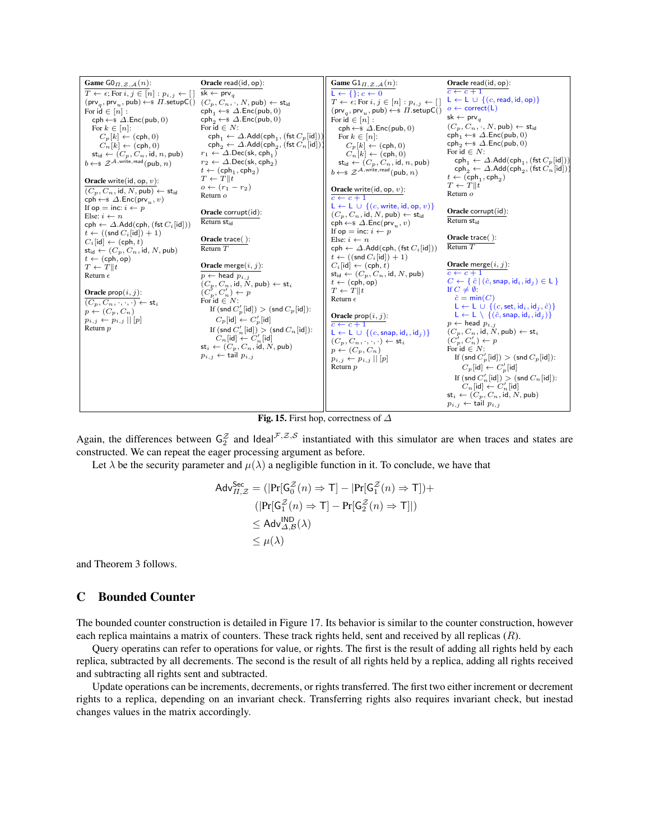

Fig. 15. First hop, correctness of  $\Delta$ 

Again, the differences between  $G_2^Z$  and Ideal $f^Z, g^Z$  instantiated with this simulator are when traces and states are constructed. We can repeat the eager processing argument as before.

Let  $\lambda$  be the security parameter and  $\mu(\lambda)$  a negligible function in it. To conclude, we have that

$$
\begin{aligned}\n\mathsf{Adv}_{\Pi,\mathcal{Z}}^{\mathsf{Sec}} &= (|\mathsf{Pr}[\mathsf{G}_{0}^{\mathcal{Z}}(n) \Rightarrow \mathsf{T}] - |\mathsf{Pr}[\mathsf{G}_{1}^{\mathcal{Z}}(n) \Rightarrow \mathsf{T}]) + \\
&\quad (|\mathsf{Pr}[\mathsf{G}_{1}^{\mathcal{Z}}(n) \Rightarrow \mathsf{T}] - \mathsf{Pr}[\mathsf{G}_{2}^{\mathcal{Z}}(n) \Rightarrow \mathsf{T}]|) \\
&\leq \mathsf{Adv}_{\Delta,\mathcal{B}}^{\mathsf{IND}}(\lambda) \\
&\leq \mu(\lambda)\n\end{aligned}
$$

and Theorem 3 follows.

### C Bounded Counter

The bounded counter construction is detailed in Figure 17. Its behavior is similar to the counter construction, however each replica maintains a matrix of counters. These track rights held, sent and received by all replicas (R).

Query operatins can refer to operations for value, or rights. The first is the result of adding all rights held by each replica, subtracted by all decrements. The second is the result of all rights held by a replica, adding all rights received and subtracting all rights sent and subtracted.

Update operations can be increments, decrements, or rights transferred. The first two either increment or decrement rights to a replica, depending on an invariant check. Transferring rights also requires invariant check, but inestad changes values in the matrix accordingly.